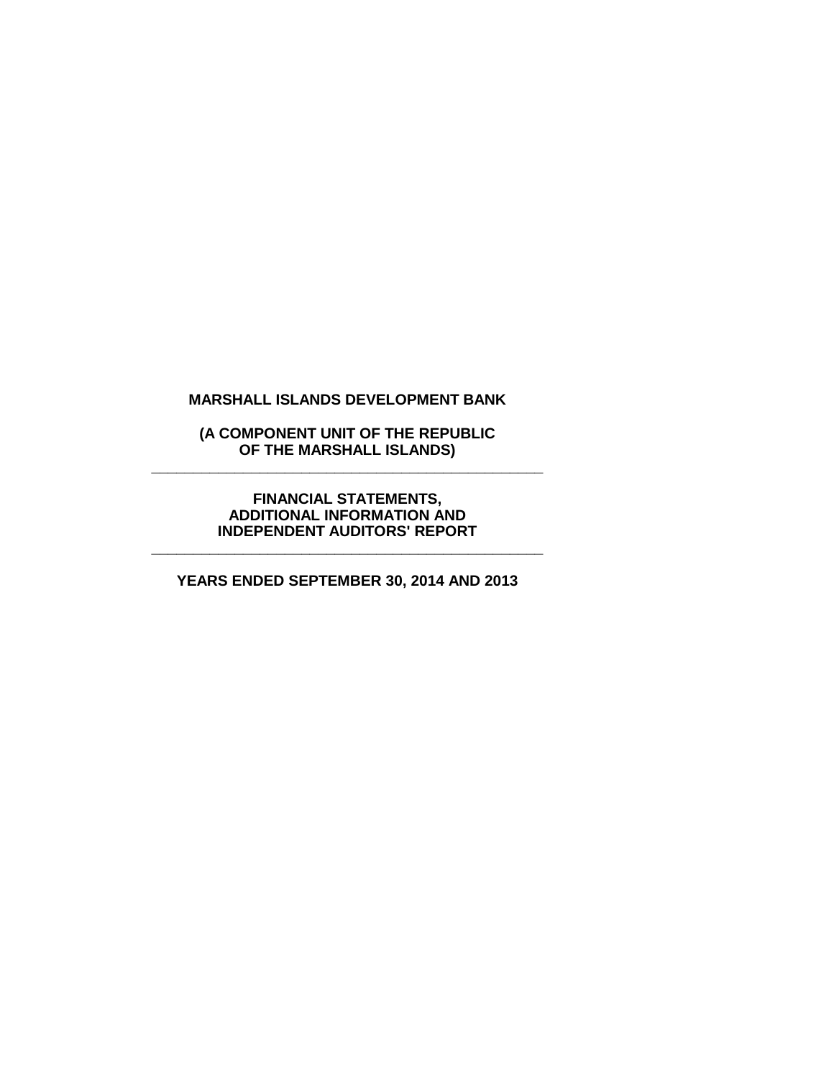**(A COMPONENT UNIT OF THE REPUBLIC OF THE MARSHALL ISLANDS) \_\_\_\_\_\_\_\_\_\_\_\_\_\_\_\_\_\_\_\_\_\_\_\_\_\_\_\_\_\_\_\_\_\_\_\_\_\_\_\_\_\_\_\_\_\_\_**

> **FINANCIAL STATEMENTS, ADDITIONAL INFORMATION AND INDEPENDENT AUDITORS' REPORT**

**YEARS ENDED SEPTEMBER 30, 2014 AND 2013**

**\_\_\_\_\_\_\_\_\_\_\_\_\_\_\_\_\_\_\_\_\_\_\_\_\_\_\_\_\_\_\_\_\_\_\_\_\_\_\_\_\_\_\_\_\_\_\_**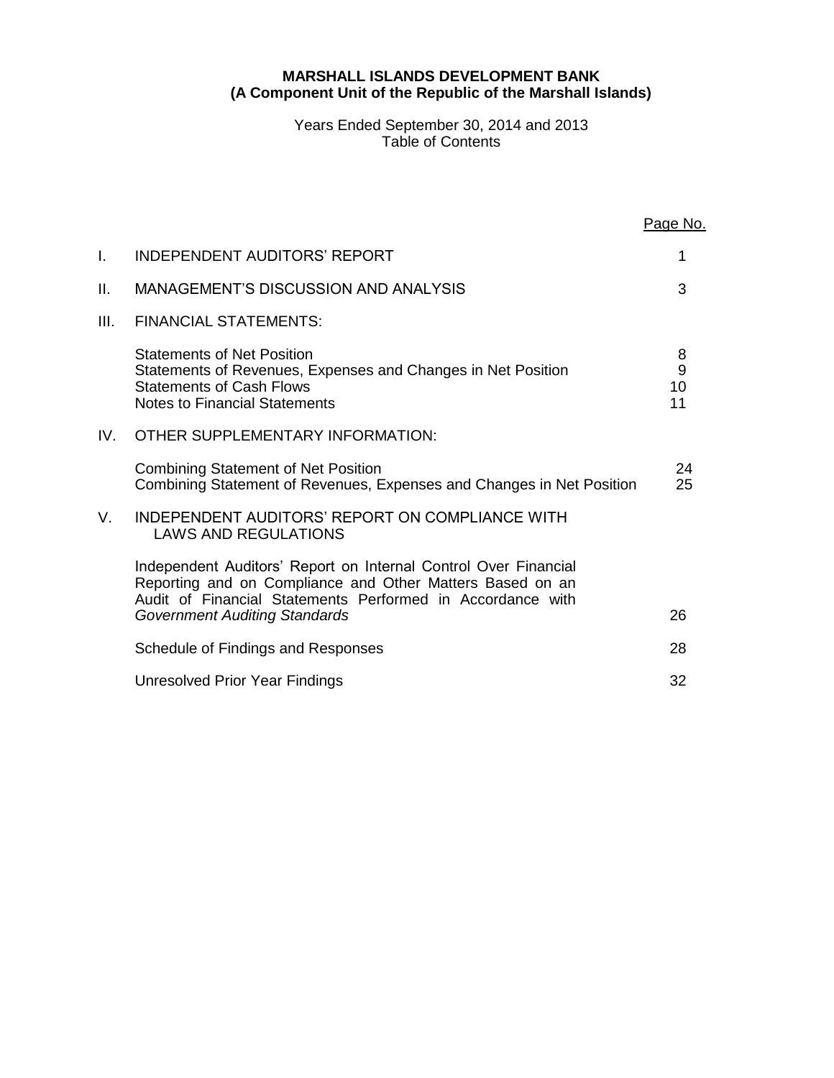## Years Ended September 30, 2014 and 2013 Table of Contents

|      |                                                                                                                                                                                            | Page No.           |
|------|--------------------------------------------------------------------------------------------------------------------------------------------------------------------------------------------|--------------------|
| I.   | <b>INDEPENDENT AUDITORS' REPORT</b>                                                                                                                                                        | 1                  |
| Ш.   | <b>MANAGEMENT'S DISCUSSION AND ANALYSIS</b>                                                                                                                                                | 3                  |
| III. | <b>FINANCIAL STATEMENTS:</b>                                                                                                                                                               |                    |
|      | <b>Statements of Net Position</b><br>Statements of Revenues, Expenses and Changes in Net Position<br><b>Statements of Cash Flows</b><br><b>Notes to Financial Statements</b>               | 8<br>9<br>10<br>11 |
| IV.  | OTHER SUPPLEMENTARY INFORMATION:                                                                                                                                                           |                    |
|      | <b>Combining Statement of Net Position</b><br>Combining Statement of Revenues, Expenses and Changes in Net Position                                                                        | 24<br>25           |
| V.   | INDEPENDENT AUDITORS' REPORT ON COMPLIANCE WITH<br><b>LAWS AND REGULATIONS</b>                                                                                                             |                    |
|      | Independent Auditors' Report on Internal Control Over Financial<br>Reporting and on Compliance and Other Matters Based on an<br>Audit of Financial Statements Performed in Accordance with |                    |
|      | <b>Government Auditing Standards</b>                                                                                                                                                       | 26                 |
|      | Schedule of Findings and Responses                                                                                                                                                         | 28                 |
|      | Unresolved Prior Year Findings                                                                                                                                                             | 32                 |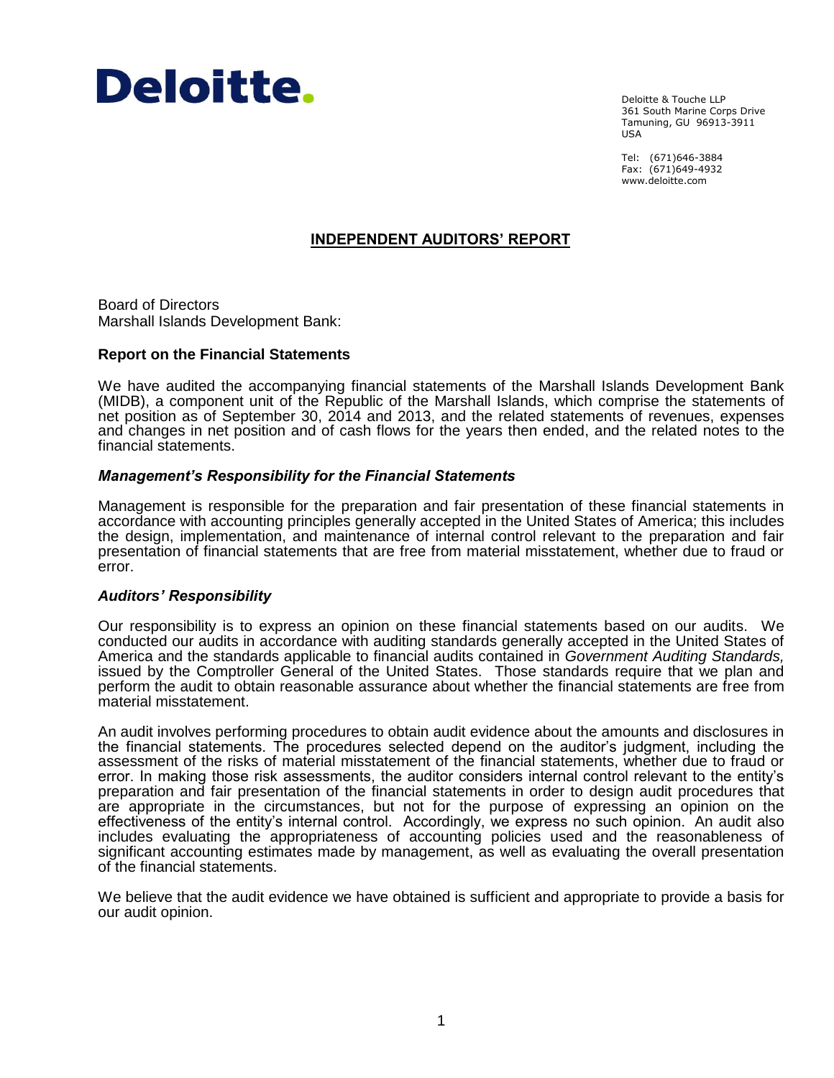

Deloitte & Touche LLP 361 South Marine Corps Drive Tamuning, GU 96913-3911 USA

Tel: (671)646-3884 Fax: (671)649-4932 www.deloitte.com

# **INDEPENDENT AUDITORS' REPORT**

Board of Directors Marshall Islands Development Bank:

#### **Report on the Financial Statements**

We have audited the accompanying financial statements of the Marshall Islands Development Bank (MIDB), a component unit of the Republic of the Marshall Islands, which comprise the statements of net position as of September 30, 2014 and 2013, and the related statements of revenues, expenses and changes in net position and of cash flows for the years then ended, and the related notes to the financial statements.

#### *Management's Responsibility for the Financial Statements*

Management is responsible for the preparation and fair presentation of these financial statements in accordance with accounting principles generally accepted in the United States of America; this includes the design, implementation, and maintenance of internal control relevant to the preparation and fair presentation of financial statements that are free from material misstatement, whether due to fraud or error.

#### *Auditors' Responsibility*

Our responsibility is to express an opinion on these financial statements based on our audits. We conducted our audits in accordance with auditing standards generally accepted in the United States of America and the standards applicable to financial audits contained in *Government Auditing Standards,* issued by the Comptroller General of the United States. Those standards require that we plan and perform the audit to obtain reasonable assurance about whether the financial statements are free from material misstatement.

An audit involves performing procedures to obtain audit evidence about the amounts and disclosures in the financial statements. The procedures selected depend on the auditor's judgment, including the assessment of the risks of material misstatement of the financial statements, whether due to fraud or error. In making those risk assessments, the auditor considers internal control relevant to the entity's preparation and fair presentation of the financial statements in order to design audit procedures that are appropriate in the circumstances, but not for the purpose of expressing an opinion on the effectiveness of the entity's internal control. Accordingly, we express no such opinion. An audit also includes evaluating the appropriateness of accounting policies used and the reasonableness of significant accounting estimates made by management, as well as evaluating the overall presentation of the financial statements.

We believe that the audit evidence we have obtained is sufficient and appropriate to provide a basis for our audit opinion.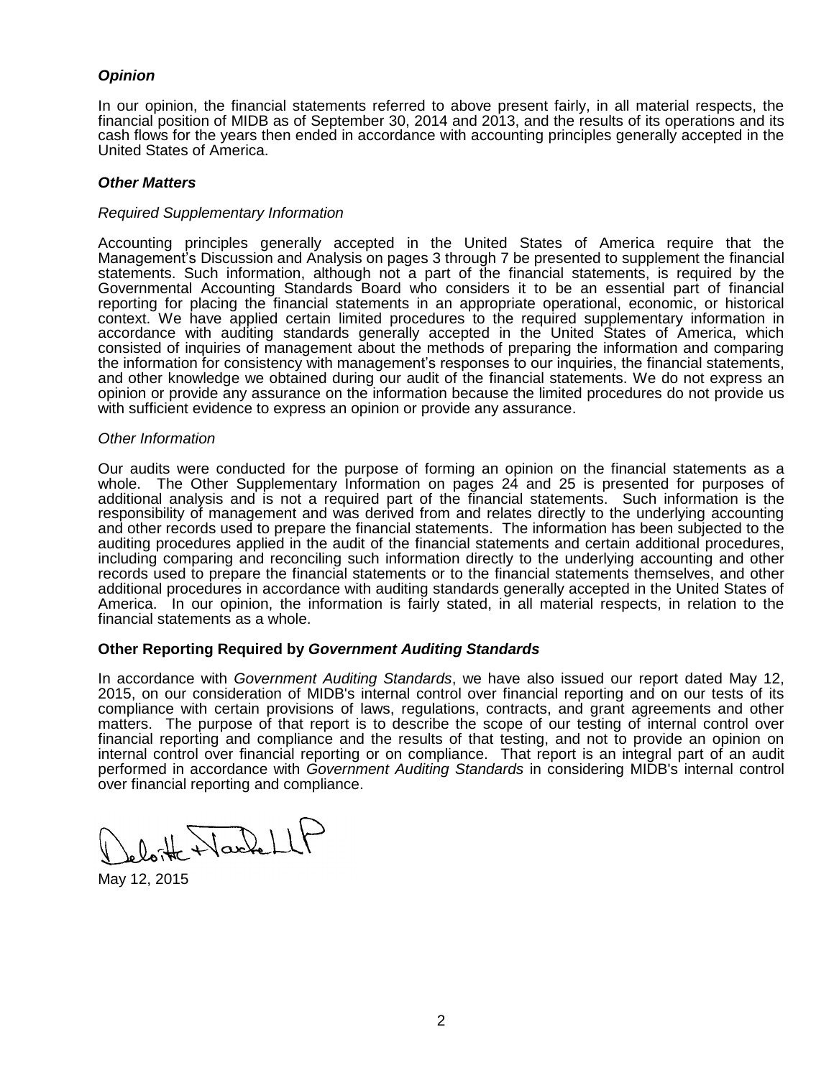# *Opinion*

In our opinion, the financial statements referred to above present fairly, in all material respects, the financial position of MIDB as of September 30, 2014 and 2013, and the results of its operations and its cash flows for the years then ended in accordance with accounting principles generally accepted in the United States of America.

## *Other Matters*

## *Required Supplementary Information*

Accounting principles generally accepted in the United States of America require that the Management's Discussion and Analysis on pages 3 through 7 be presented to supplement the financial statements. Such information, although not a part of the financial statements, is required by the Governmental Accounting Standards Board who considers it to be an essential part of financial reporting for placing the financial statements in an appropriate operational, economic, or historical context. We have applied certain limited procedures to the required supplementary information in accordance with auditing standards generally accepted in the United States of America, which consisted of inquiries of management about the methods of preparing the information and comparing the information for consistency with management's responses to our inquiries, the financial statements, and other knowledge we obtained during our audit of the financial statements. We do not express an opinion or provide any assurance on the information because the limited procedures do not provide us with sufficient evidence to express an opinion or provide any assurance.

#### *Other Information*

Our audits were conducted for the purpose of forming an opinion on the financial statements as a whole. The Other Supplementary Information on pages 24 and 25 is presented for purposes of additional analysis and is not a required part of the financial statements. Such information is the responsibility of management and was derived from and relates directly to the underlying accounting and other records used to prepare the financial statements. The information has been subjected to the auditing procedures applied in the audit of the financial statements and certain additional procedures, including comparing and reconciling such information directly to the underlying accounting and other records used to prepare the financial statements or to the financial statements themselves, and other additional procedures in accordance with auditing standards generally accepted in the United States of America. In our opinion, the information is fairly stated, in all material respects, in relation to the financial statements as a whole.

## **Other Reporting Required by** *Government Auditing Standards*

In accordance with *Government Auditing Standards*, we have also issued our report dated May 12, 2015, on our consideration of MIDB's internal control over financial reporting and on our tests of its compliance with certain provisions of laws, regulations, contracts, and grant agreements and other matters. The purpose of that report is to describe the scope of our testing of internal control over financial reporting and compliance and the results of that testing, and not to provide an opinion on internal control over financial reporting or on compliance. That report is an integral part of an audit performed in accordance with *Government Auditing Standards* in considering MIDB's internal control over financial reporting and compliance.

Jeloitte WardellP

May 12, 2015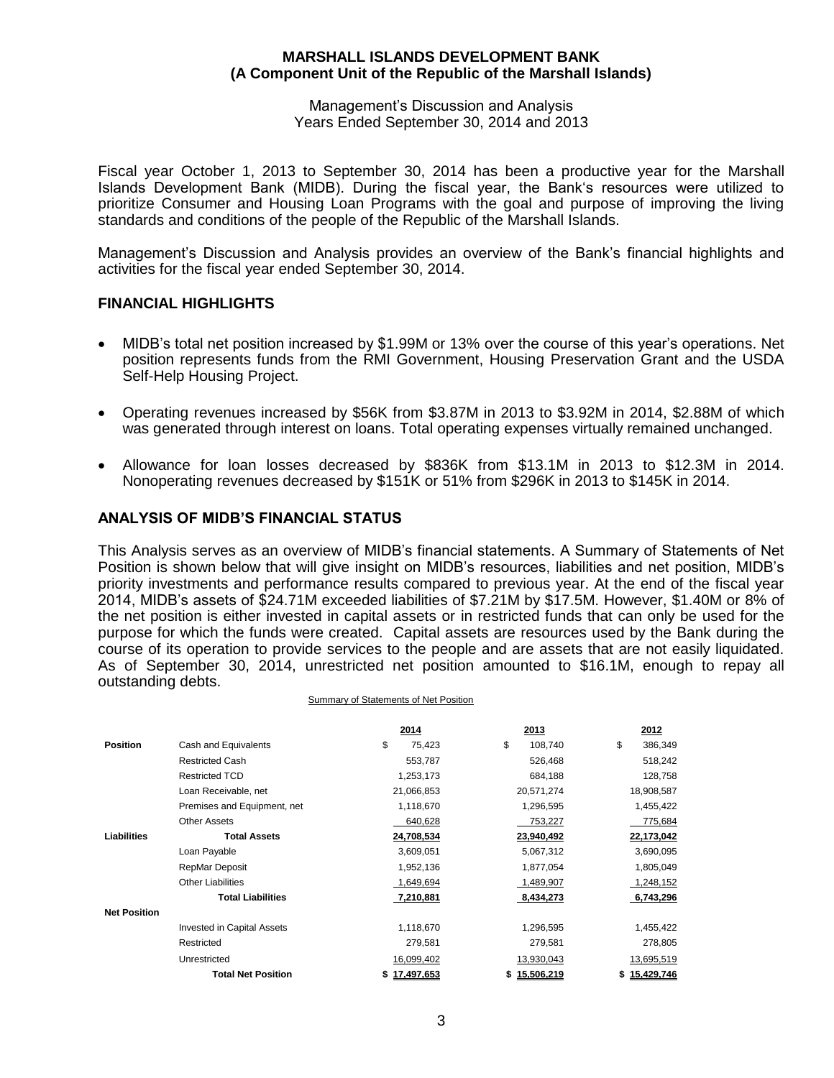Management's Discussion and Analysis Years Ended September 30, 2014 and 2013

Fiscal year October 1, 2013 to September 30, 2014 has been a productive year for the Marshall Islands Development Bank (MIDB). During the fiscal year, the Bank's resources were utilized to prioritize Consumer and Housing Loan Programs with the goal and purpose of improving the living standards and conditions of the people of the Republic of the Marshall Islands.

Management's Discussion and Analysis provides an overview of the Bank's financial highlights and activities for the fiscal year ended September 30, 2014.

## **FINANCIAL HIGHLIGHTS**

- MIDB's total net position increased by \$1.99M or 13% over the course of this year's operations. Net position represents funds from the RMI Government, Housing Preservation Grant and the USDA Self-Help Housing Project.
- Operating revenues increased by \$56K from \$3.87M in 2013 to \$3.92M in 2014, \$2.88M of which was generated through interest on loans. Total operating expenses virtually remained unchanged.
- Allowance for loan losses decreased by \$836K from \$13.1M in 2013 to \$12.3M in 2014. Nonoperating revenues decreased by \$151K or 51% from \$296K in 2013 to \$145K in 2014.

## **ANALYSIS OF MIDB'S FINANCIAL STATUS**

This Analysis serves as an overview of MIDB's financial statements. A Summary of Statements of Net Position is shown below that will give insight on MIDB's resources, liabilities and net position, MIDB's priority investments and performance results compared to previous year. At the end of the fiscal year 2014, MIDB's assets of \$24.71M exceeded liabilities of \$7.21M by \$17.5M. However, \$1.40M or 8% of the net position is either invested in capital assets or in restricted funds that can only be used for the purpose for which the funds were created. Capital assets are resources used by the Bank during the course of its operation to provide services to the people and are assets that are not easily liquidated. As of September 30, 2014, unrestricted net position amounted to \$16.1M, enough to repay all outstanding debts.

|                     |                             | 2014         | 2013          | 2012             |
|---------------------|-----------------------------|--------------|---------------|------------------|
| <b>Position</b>     | Cash and Equivalents        | \$<br>75,423 | \$<br>108,740 | \$<br>386,349    |
|                     | <b>Restricted Cash</b>      | 553,787      | 526,468       | 518,242          |
|                     | <b>Restricted TCD</b>       | 1,253,173    | 684,188       | 128,758          |
|                     | Loan Receivable, net        | 21,066,853   | 20,571,274    | 18,908,587       |
|                     | Premises and Equipment, net | 1,118,670    | 1,296,595     | 1,455,422        |
|                     | <b>Other Assets</b>         | 640,628      | 753,227       | 775,684          |
| Liabilities         | <b>Total Assets</b>         | 24,708,534   | 23,940,492    | 22,173,042       |
|                     | Loan Payable                | 3,609,051    | 5,067,312     | 3,690,095        |
|                     | <b>RepMar Deposit</b>       | 1,952,136    | 1,877,054     | 1,805,049        |
|                     | <b>Other Liabilities</b>    | 1,649,694    | 1,489,907     | 1,248,152        |
|                     | <b>Total Liabilities</b>    | 7,210,881    | 8,434,273     | 6,743,296        |
| <b>Net Position</b> |                             |              |               |                  |
|                     | Invested in Capital Assets  | 1,118,670    | 1,296,595     | 1,455,422        |
|                     | Restricted                  | 279,581      | 279,581       | 278,805          |
|                     | Unrestricted                | 16,099,402   | 13,930,043    | 13,695,519       |
|                     | <b>Total Net Position</b>   | \$17,497,653 | \$15.506.219  | 15.429.746<br>\$ |

**Summary of Statements of Net Position**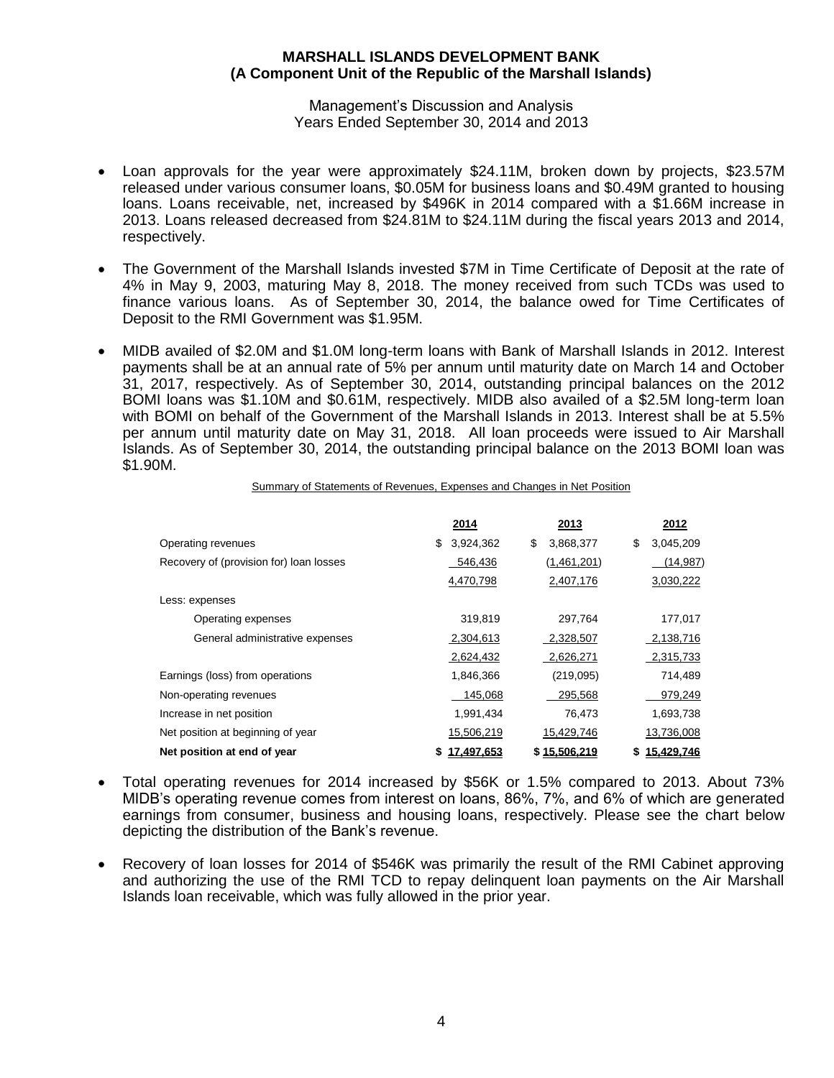Management's Discussion and Analysis Years Ended September 30, 2014 and 2013

- Loan approvals for the year were approximately \$24.11M, broken down by projects, \$23.57M released under various consumer loans, \$0.05M for business loans and \$0.49M granted to housing loans. Loans receivable, net, increased by \$496K in 2014 compared with a \$1.66M increase in 2013. Loans released decreased from \$24.81M to \$24.11M during the fiscal years 2013 and 2014, respectively.
- The Government of the Marshall Islands invested \$7M in Time Certificate of Deposit at the rate of 4% in May 9, 2003, maturing May 8, 2018. The money received from such TCDs was used to finance various loans. As of September 30, 2014, the balance owed for Time Certificates of Deposit to the RMI Government was \$1.95M.
- MIDB availed of \$2.0M and \$1.0M long-term loans with Bank of Marshall Islands in 2012. Interest payments shall be at an annual rate of 5% per annum until maturity date on March 14 and October 31, 2017, respectively. As of September 30, 2014, outstanding principal balances on the 2012 BOMI loans was \$1.10M and \$0.61M, respectively. MIDB also availed of a \$2.5M long-term loan with BOMI on behalf of the Government of the Marshall Islands in 2013. Interest shall be at 5.5% per annum until maturity date on May 31, 2018. All loan proceeds were issued to Air Marshall Islands. As of September 30, 2014, the outstanding principal balance on the 2013 BOMI loan was \$1.90M.

#### Summary of Statements of Revenues, Expenses and Changes in Net Position

|                                         | 2014                    | 2013            | 2012            |
|-----------------------------------------|-------------------------|-----------------|-----------------|
| Operating revenues                      | S<br>3.924,362          | \$<br>3,868,377 | \$<br>3,045,209 |
| Recovery of (provision for) loan losses | 546,436                 | (1,461,201)     | (14, 987)       |
|                                         | 4,470,798               | 2,407,176       | 3,030,222       |
| Less: expenses                          |                         |                 |                 |
| Operating expenses                      | 319,819                 | 297,764         | 177,017         |
| General administrative expenses         | 2,304,613               | 2,328,507       | 2,138,716       |
|                                         | 2,624,432               | 2,626,271       | 2,315,733       |
| Earnings (loss) from operations         | 1,846,366               | (219,095)       | 714,489         |
| Non-operating revenues                  | 145,068                 | 295,568         | 979,249         |
| Increase in net position                | 1,991,434               | 76,473          | 1,693,738       |
| Net position at beginning of year       | 15,506,219              | 15,429,746      | 13,736,008      |
| Net position at end of year             | <u>17.497.653</u><br>\$ | \$15.506.219    | 15.429.746<br>S |

- Total operating revenues for 2014 increased by \$56K or 1.5% compared to 2013. About 73% MIDB's operating revenue comes from interest on loans, 86%, 7%, and 6% of which are generated earnings from consumer, business and housing loans, respectively. Please see the chart below depicting the distribution of the Bank's revenue.
- Recovery of loan losses for 2014 of \$546K was primarily the result of the RMI Cabinet approving and authorizing the use of the RMI TCD to repay delinquent loan payments on the Air Marshall Islands loan receivable, which was fully allowed in the prior year.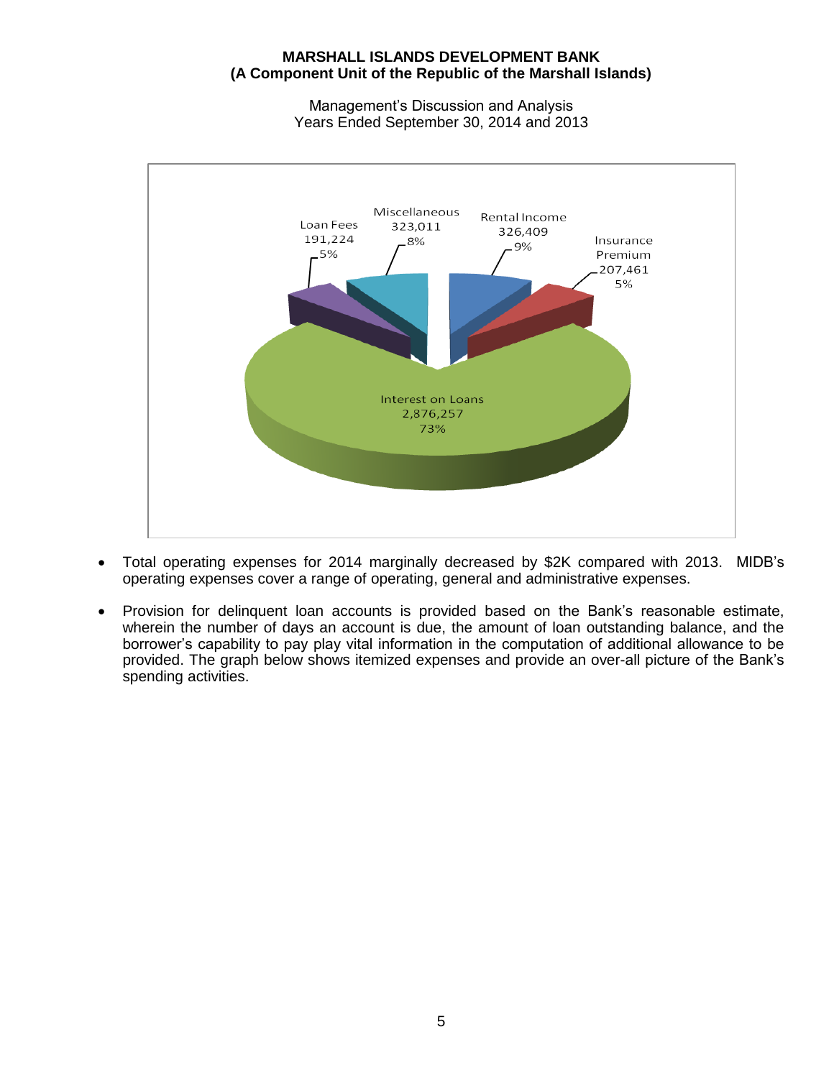Management's Discussion and Analysis Years Ended September 30, 2014 and 2013



- Total operating expenses for 2014 marginally decreased by \$2K compared with 2013. MIDB's operating expenses cover a range of operating, general and administrative expenses.
- Provision for delinquent loan accounts is provided based on the Bank's reasonable estimate, wherein the number of days an account is due, the amount of loan outstanding balance, and the borrower's capability to pay play vital information in the computation of additional allowance to be provided. The graph below shows itemized expenses and provide an over-all picture of the Bank's spending activities.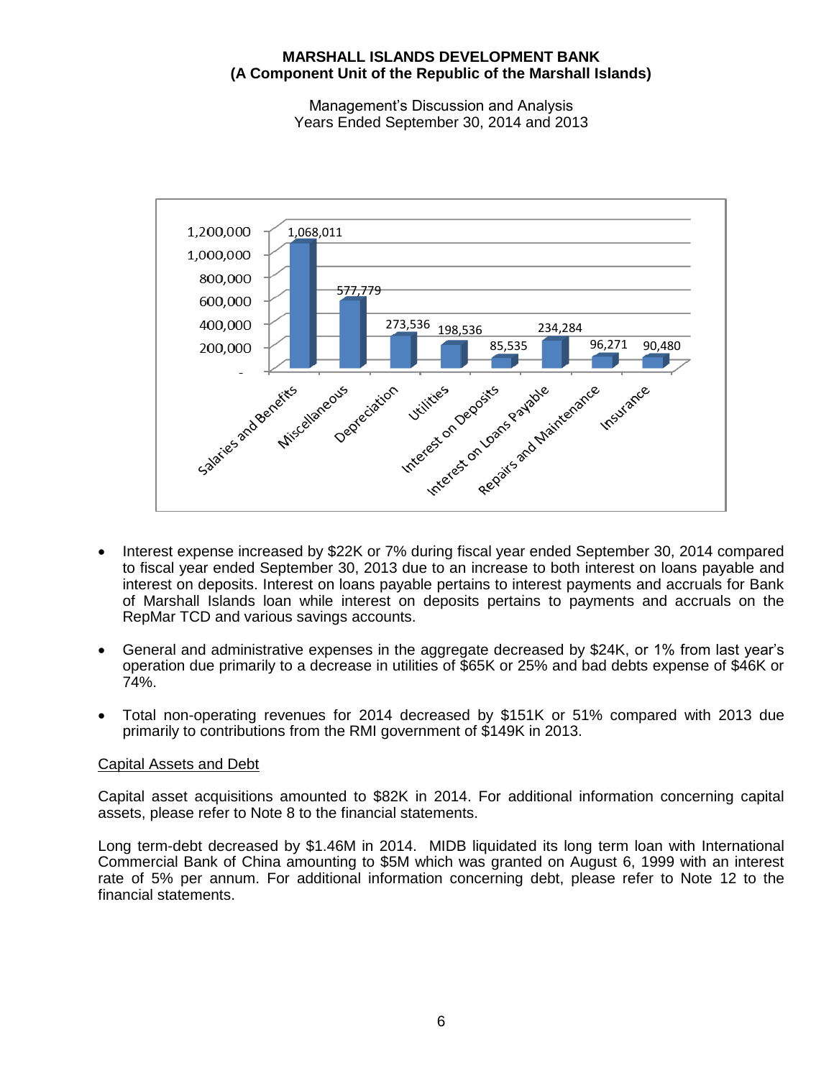Management's Discussion and Analysis Years Ended September 30, 2014 and 2013



- Interest expense increased by \$22K or 7% during fiscal year ended September 30, 2014 compared to fiscal year ended September 30, 2013 due to an increase to both interest on loans payable and interest on deposits. Interest on loans payable pertains to interest payments and accruals for Bank of Marshall Islands loan while interest on deposits pertains to payments and accruals on the RepMar TCD and various savings accounts.
- General and administrative expenses in the aggregate decreased by \$24K, or 1% from last year's operation due primarily to a decrease in utilities of \$65K or 25% and bad debts expense of \$46K or 74%.
- Total non-operating revenues for 2014 decreased by \$151K or 51% compared with 2013 due primarily to contributions from the RMI government of \$149K in 2013.

## Capital Assets and Debt

Capital asset acquisitions amounted to \$82K in 2014. For additional information concerning capital assets, please refer to Note 8 to the financial statements.

Long term-debt decreased by \$1.46M in 2014. MIDB liquidated its long term loan with International Commercial Bank of China amounting to \$5M which was granted on August 6, 1999 with an interest rate of 5% per annum. For additional information concerning debt, please refer to Note 12 to the financial statements.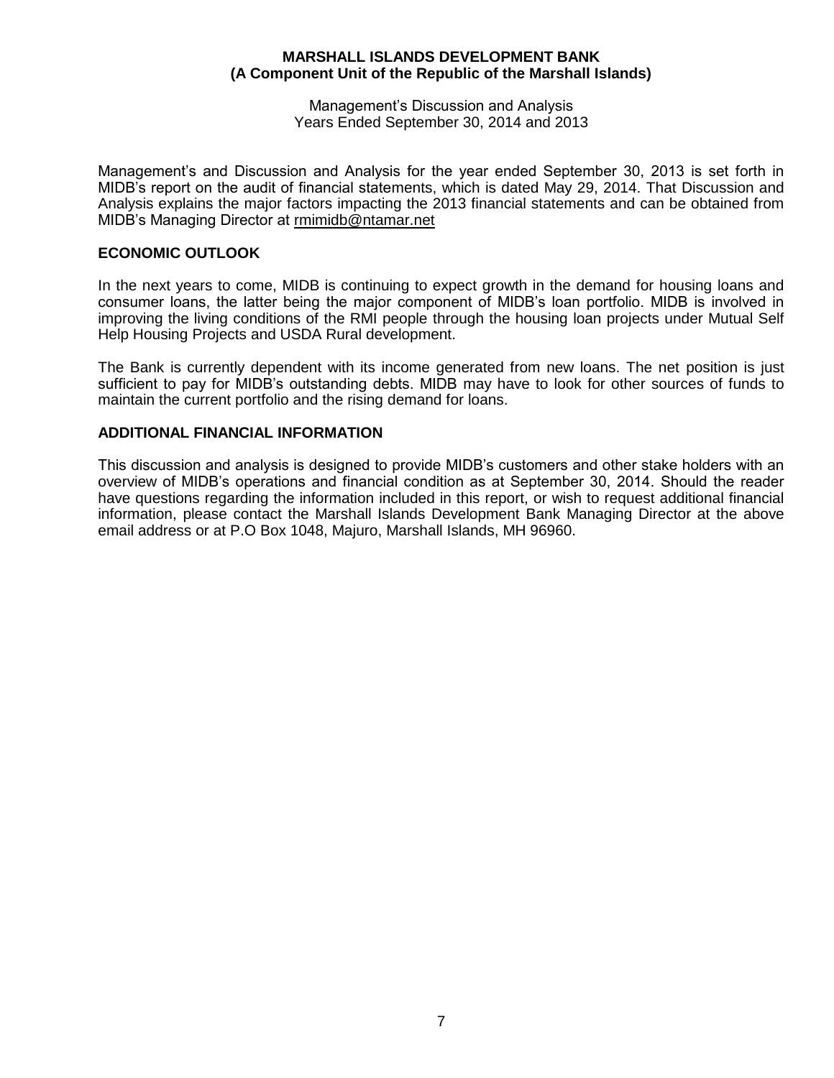Management's Discussion and Analysis Years Ended September 30, 2014 and 2013

Management's and Discussion and Analysis for the year ended September 30, 2013 is set forth in MIDB's report on the audit of financial statements, which is dated May 29, 2014. That Discussion and Analysis explains the major factors impacting the 2013 financial statements and can be obtained from MIDB's Managing Director at [rmimidb@ntamar.net](mailto:rmimidb@ntamar.net)

## **ECONOMIC OUTLOOK**

In the next years to come, MIDB is continuing to expect growth in the demand for housing loans and consumer loans, the latter being the major component of MIDB's loan portfolio. MIDB is involved in improving the living conditions of the RMI people through the housing loan projects under Mutual Self Help Housing Projects and USDA Rural development.

The Bank is currently dependent with its income generated from new loans. The net position is just sufficient to pay for MIDB's outstanding debts. MIDB may have to look for other sources of funds to maintain the current portfolio and the rising demand for loans.

## **ADDITIONAL FINANCIAL INFORMATION**

This discussion and analysis is designed to provide MIDB's customers and other stake holders with an overview of MIDB's operations and financial condition as at September 30, 2014. Should the reader have questions regarding the information included in this report, or wish to request additional financial information, please contact the Marshall Islands Development Bank Managing Director at the above email address or at P.O Box 1048, Majuro, Marshall Islands, MH 96960.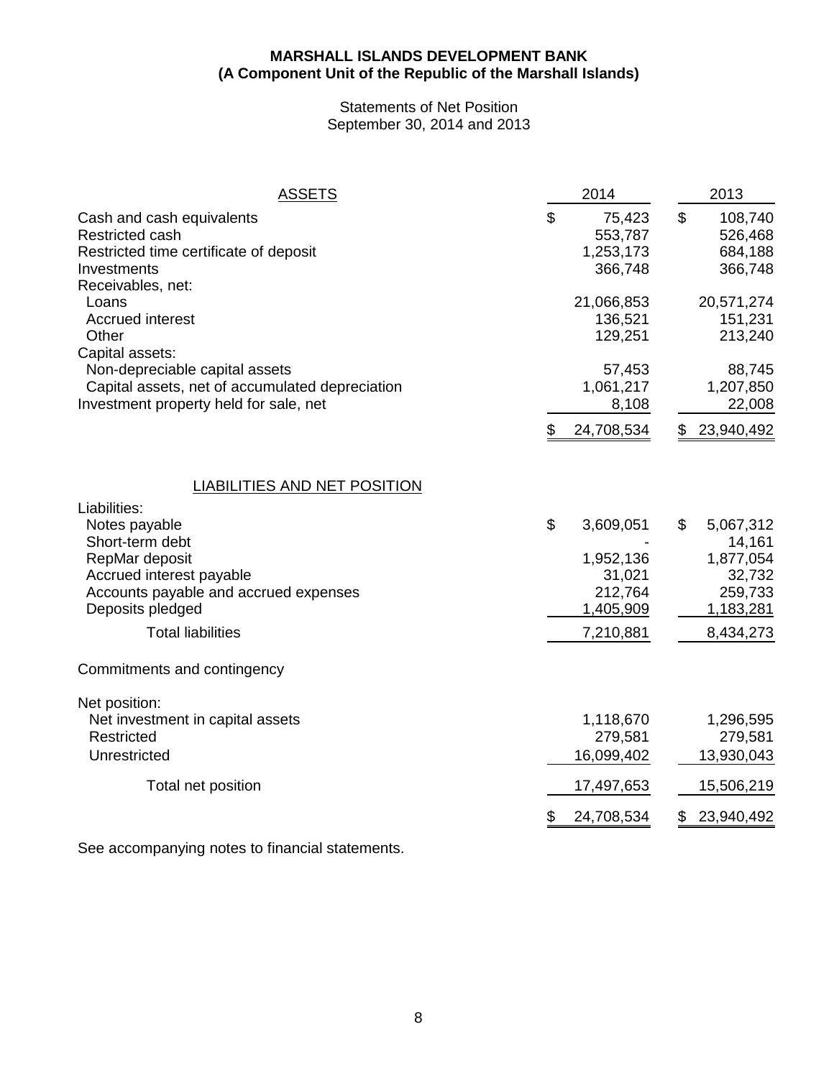Statements of Net Position September 30, 2014 and 2013

| <b>ASSETS</b>                                                                                                                                                                           | 2014                                                                        | 2013                                                                                  |
|-----------------------------------------------------------------------------------------------------------------------------------------------------------------------------------------|-----------------------------------------------------------------------------|---------------------------------------------------------------------------------------|
| Cash and cash equivalents<br>Restricted cash<br>Restricted time certificate of deposit<br>Investments                                                                                   | \$<br>75,423<br>553,787<br>1,253,173<br>366,748                             | \$<br>108,740<br>526,468<br>684,188<br>366,748                                        |
| Receivables, net:<br>Loans<br><b>Accrued interest</b><br>Other<br>Capital assets:                                                                                                       | 21,066,853<br>136,521<br>129,251                                            | 20,571,274<br>151,231<br>213,240                                                      |
| Non-depreciable capital assets<br>Capital assets, net of accumulated depreciation<br>Investment property held for sale, net                                                             | 57,453<br>1,061,217                                                         | 88,745<br>1,207,850<br>8,108<br>22,008                                                |
|                                                                                                                                                                                         | 24,708,534<br>\$                                                            | 23,940,492<br>\$                                                                      |
| <b>LIABILITIES AND NET POSITION</b>                                                                                                                                                     |                                                                             |                                                                                       |
| Liabilities:<br>Notes payable<br>Short-term debt<br>RepMar deposit<br>Accrued interest payable<br>Accounts payable and accrued expenses<br>Deposits pledged<br><b>Total liabilities</b> | \$<br>3,609,051<br>1,952,136<br>31,021<br>212,764<br>1,405,909<br>7,210,881 | \$<br>5,067,312<br>14,161<br>1,877,054<br>32,732<br>259,733<br>1,183,281<br>8,434,273 |
| Commitments and contingency                                                                                                                                                             |                                                                             |                                                                                       |
| Net position:<br>Net investment in capital assets<br>Restricted<br>Unrestricted<br>Total net position                                                                                   | 1,118,670<br>279,581<br>16,099,402<br>17,497,653<br>24,708,534<br>\$        | 1,296,595<br>279,581<br>13,930,043<br>15,506,219<br>\$<br>23,940,492                  |

See accompanying notes to financial statements.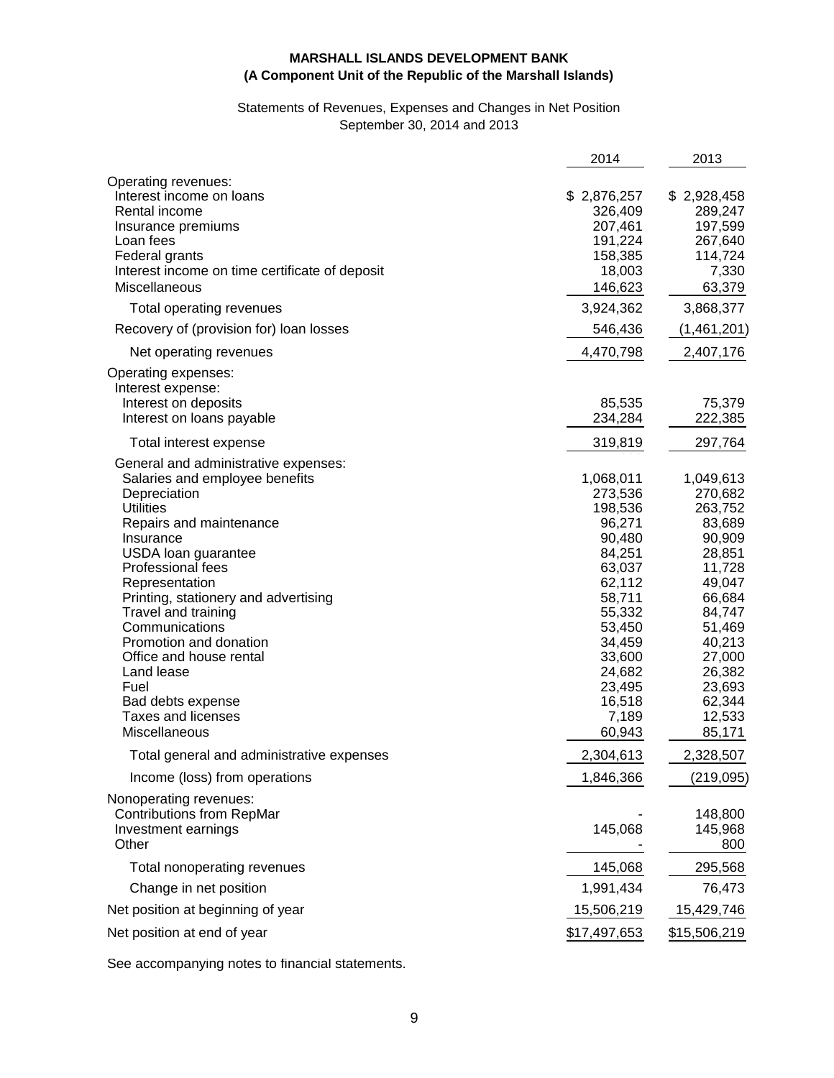# Statements of Revenues, Expenses and Changes in Net Position September 30, 2014 and 2013

|                                                                                                                                                                                                                                                                                                                                                                                                                                                 | 2014                                                                                                                                                                                 | 2013                                                                                                                                                                                  |
|-------------------------------------------------------------------------------------------------------------------------------------------------------------------------------------------------------------------------------------------------------------------------------------------------------------------------------------------------------------------------------------------------------------------------------------------------|--------------------------------------------------------------------------------------------------------------------------------------------------------------------------------------|---------------------------------------------------------------------------------------------------------------------------------------------------------------------------------------|
| Operating revenues:<br>Interest income on loans<br>Rental income<br>Insurance premiums<br>Loan fees<br>Federal grants<br>Interest income on time certificate of deposit<br>Miscellaneous                                                                                                                                                                                                                                                        | \$2,876,257<br>326,409<br>207,461<br>191,224<br>158,385<br>18,003<br>146,623                                                                                                         | \$2,928,458<br>289,247<br>197,599<br>267,640<br>114,724<br>7,330<br>63,379                                                                                                            |
| Total operating revenues                                                                                                                                                                                                                                                                                                                                                                                                                        | 3,924,362                                                                                                                                                                            | 3,868,377                                                                                                                                                                             |
| Recovery of (provision for) loan losses                                                                                                                                                                                                                                                                                                                                                                                                         | 546,436                                                                                                                                                                              | (1,461,201)                                                                                                                                                                           |
| Net operating revenues                                                                                                                                                                                                                                                                                                                                                                                                                          | 4,470,798                                                                                                                                                                            | 2,407,176                                                                                                                                                                             |
| Operating expenses:<br>Interest expense:<br>Interest on deposits<br>Interest on loans payable                                                                                                                                                                                                                                                                                                                                                   | 85,535<br>234,284                                                                                                                                                                    | 75,379<br>222,385                                                                                                                                                                     |
| Total interest expense                                                                                                                                                                                                                                                                                                                                                                                                                          | 319,819                                                                                                                                                                              | 297,764                                                                                                                                                                               |
| General and administrative expenses:<br>Salaries and employee benefits<br>Depreciation<br><b>Utilities</b><br>Repairs and maintenance<br>Insurance<br>USDA loan guarantee<br>Professional fees<br>Representation<br>Printing, stationery and advertising<br>Travel and training<br>Communications<br>Promotion and donation<br>Office and house rental<br>Land lease<br>Fuel<br>Bad debts expense<br><b>Taxes and licenses</b><br>Miscellaneous | 1,068,011<br>273,536<br>198,536<br>96,271<br>90,480<br>84,251<br>63,037<br>62,112<br>58,711<br>55,332<br>53,450<br>34,459<br>33,600<br>24,682<br>23,495<br>16,518<br>7,189<br>60,943 | 1,049,613<br>270,682<br>263,752<br>83,689<br>90,909<br>28,851<br>11,728<br>49,047<br>66,684<br>84,747<br>51,469<br>40,213<br>27,000<br>26,382<br>23,693<br>62,344<br>12,533<br>85,171 |
| Total general and administrative expenses                                                                                                                                                                                                                                                                                                                                                                                                       | 2,304,613                                                                                                                                                                            | 2,328,507                                                                                                                                                                             |
| Income (loss) from operations                                                                                                                                                                                                                                                                                                                                                                                                                   | 1,846,366                                                                                                                                                                            | (219,095)                                                                                                                                                                             |
| Nonoperating revenues:<br><b>Contributions from RepMar</b><br>Investment earnings<br>Other                                                                                                                                                                                                                                                                                                                                                      | 145,068                                                                                                                                                                              | 148,800<br>145,968<br>800                                                                                                                                                             |
| Total nonoperating revenues                                                                                                                                                                                                                                                                                                                                                                                                                     | 145,068                                                                                                                                                                              | 295,568                                                                                                                                                                               |
| Change in net position                                                                                                                                                                                                                                                                                                                                                                                                                          | 1,991,434                                                                                                                                                                            | 76,473                                                                                                                                                                                |
| Net position at beginning of year                                                                                                                                                                                                                                                                                                                                                                                                               | 15,506,219                                                                                                                                                                           | 15,429,746                                                                                                                                                                            |
| Net position at end of year                                                                                                                                                                                                                                                                                                                                                                                                                     | \$17,497,653                                                                                                                                                                         | \$15,506,219                                                                                                                                                                          |

See accompanying notes to financial statements.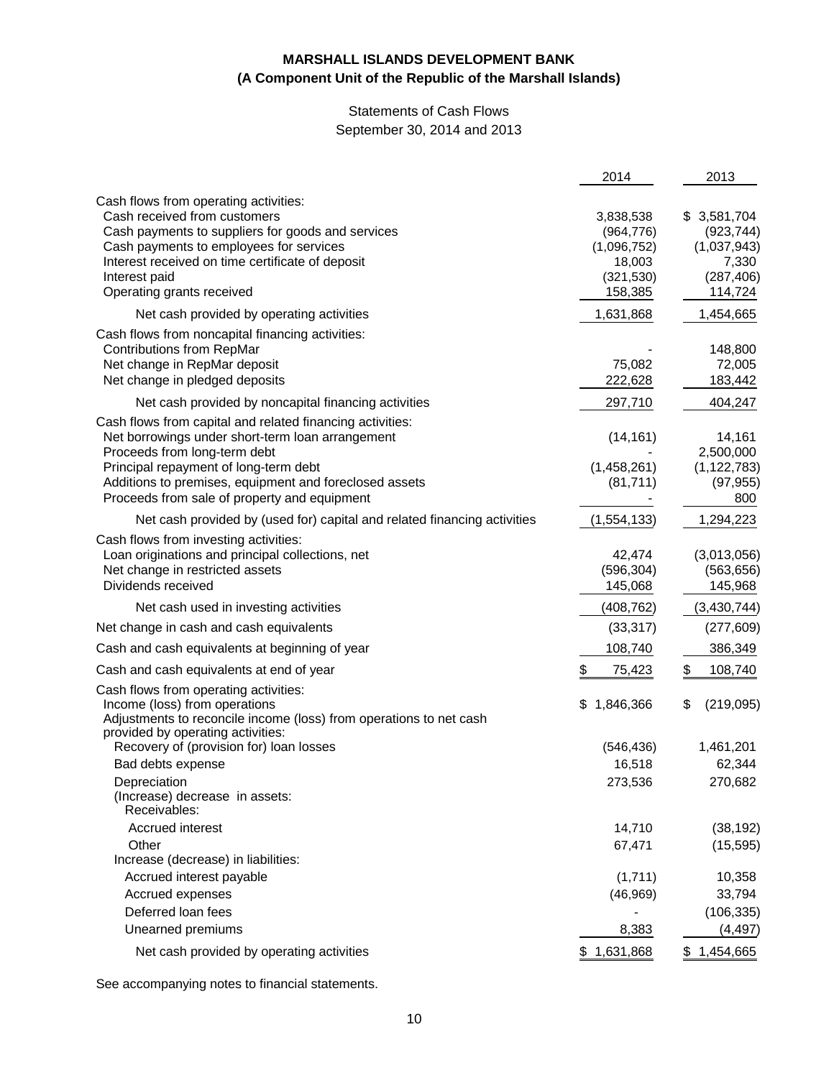# Statements of Cash Flows

September 30, 2014 and 2013

|                                                                                                     | 2014                  | 2013                  |
|-----------------------------------------------------------------------------------------------------|-----------------------|-----------------------|
| Cash flows from operating activities:                                                               |                       |                       |
| Cash received from customers                                                                        | 3,838,538             | \$3,581,704           |
| Cash payments to suppliers for goods and services                                                   | (964, 776)            | (923, 744)            |
| Cash payments to employees for services                                                             | (1,096,752)           | (1,037,943)           |
| Interest received on time certificate of deposit<br>Interest paid                                   | 18,003<br>(321, 530)  | 7,330<br>(287, 406)   |
| Operating grants received                                                                           | 158,385               | 114,724               |
| Net cash provided by operating activities                                                           | 1,631,868             | 1,454,665             |
|                                                                                                     |                       |                       |
| Cash flows from noncapital financing activities:<br><b>Contributions from RepMar</b>                |                       | 148,800               |
| Net change in RepMar deposit                                                                        | 75,082                | 72,005                |
| Net change in pledged deposits                                                                      | 222,628               | 183,442               |
| Net cash provided by noncapital financing activities                                                | 297,710               | 404,247               |
| Cash flows from capital and related financing activities:                                           |                       |                       |
| Net borrowings under short-term loan arrangement                                                    | (14, 161)             | 14,161                |
| Proceeds from long-term debt                                                                        |                       | 2,500,000             |
| Principal repayment of long-term debt                                                               | (1,458,261)           | (1, 122, 783)         |
| Additions to premises, equipment and foreclosed assets                                              | (81, 711)             | (97, 955)             |
| Proceeds from sale of property and equipment                                                        |                       | 800                   |
| Net cash provided by (used for) capital and related financing activities                            | (1, 554, 133)         | 1,294,223             |
| Cash flows from investing activities:                                                               |                       |                       |
| Loan originations and principal collections, net                                                    | 42,474                | (3,013,056)           |
| Net change in restricted assets<br>Dividends received                                               | (596, 304)<br>145,068 | (563, 656)<br>145,968 |
|                                                                                                     |                       |                       |
| Net cash used in investing activities                                                               | (408, 762)            | (3,430,744)           |
| Net change in cash and cash equivalents                                                             | (33, 317)             | (277, 609)            |
| Cash and cash equivalents at beginning of year                                                      | 108,740               | 386,349               |
| Cash and cash equivalents at end of year                                                            | \$<br>75,423          | \$<br>108,740         |
| Cash flows from operating activities:                                                               |                       |                       |
| Income (loss) from operations<br>Adjustments to reconcile income (loss) from operations to net cash | 1,846,366             | \$<br>(219,095)       |
| provided by operating activities:                                                                   |                       |                       |
| Recovery of (provision for) loan losses                                                             | (546, 436)            | 1,461,201             |
| Bad debts expense                                                                                   | 16,518                | 62,344                |
| Depreciation                                                                                        | 273,536               | 270,682               |
| (Increase) decrease in assets:<br>Receivables:                                                      |                       |                       |
| Accrued interest                                                                                    | 14,710                | (38, 192)             |
| Other                                                                                               | 67,471                | (15, 595)             |
| Increase (decrease) in liabilities:                                                                 |                       |                       |
| Accrued interest payable                                                                            | (1,711)               | 10,358                |
| Accrued expenses                                                                                    | (46, 969)             | 33,794                |
| Deferred loan fees                                                                                  |                       | (106, 335)            |
| Unearned premiums                                                                                   | 8,383                 | (4, 497)              |
| Net cash provided by operating activities                                                           | \$1,631,868           | \$1,454,665           |

See accompanying notes to financial statements.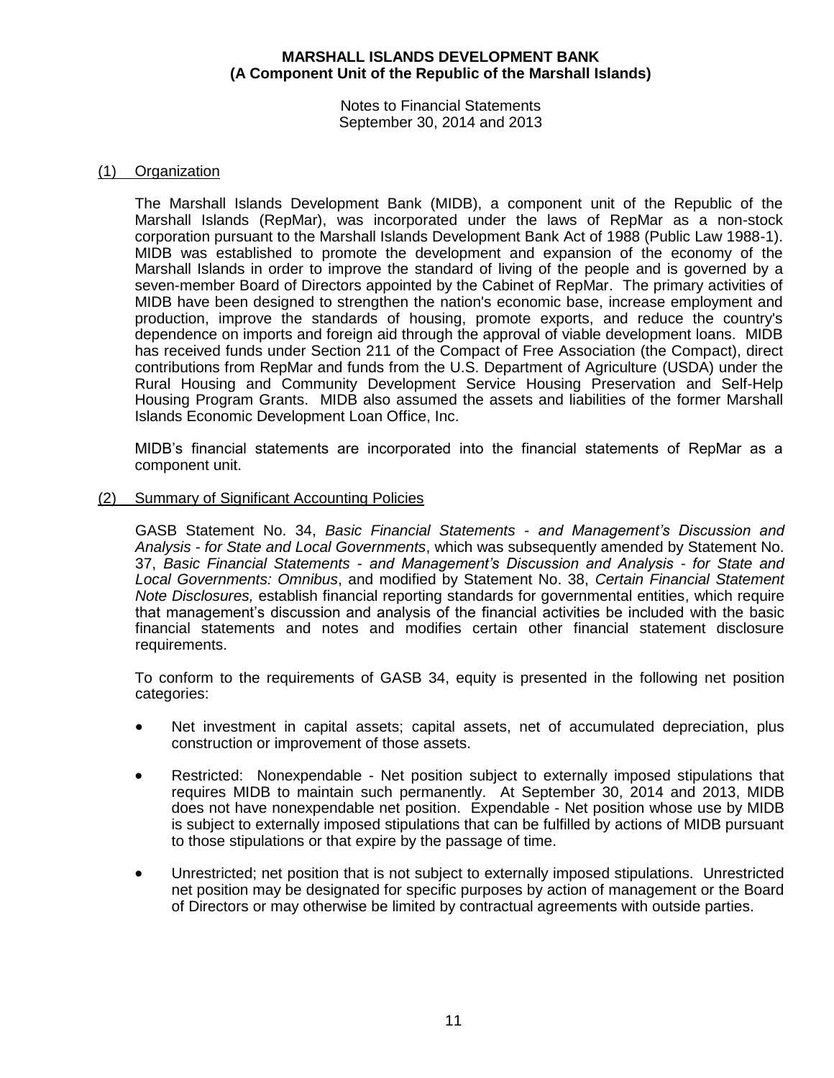Notes to Financial Statements September 30, 2014 and 2013

## (1) Organization

The Marshall Islands Development Bank (MIDB), a component unit of the Republic of the Marshall Islands (RepMar), was incorporated under the laws of RepMar as a non-stock corporation pursuant to the Marshall Islands Development Bank Act of 1988 (Public Law 1988-1). MIDB was established to promote the development and expansion of the economy of the Marshall Islands in order to improve the standard of living of the people and is governed by a seven-member Board of Directors appointed by the Cabinet of RepMar. The primary activities of MIDB have been designed to strengthen the nation's economic base, increase employment and production, improve the standards of housing, promote exports, and reduce the country's dependence on imports and foreign aid through the approval of viable development loans. MIDB has received funds under Section 211 of the Compact of Free Association (the Compact), direct contributions from RepMar and funds from the U.S. Department of Agriculture (USDA) under the Rural Housing and Community Development Service Housing Preservation and Self-Help Housing Program Grants. MIDB also assumed the assets and liabilities of the former Marshall Islands Economic Development Loan Office, Inc.

MIDB's financial statements are incorporated into the financial statements of RepMar as a component unit.

#### (2) Summary of Significant Accounting Policies

GASB Statement No. 34, *Basic Financial Statements - and Management's Discussion and Analysis - for State and Local Governments*, which was subsequently amended by Statement No. 37, *Basic Financial Statements - and Management's Discussion and Analysis - for State and Local Governments: Omnibus*, and modified by Statement No. 38, *Certain Financial Statement Note Disclosures,* establish financial reporting standards for governmental entities, which require that management's discussion and analysis of the financial activities be included with the basic financial statements and notes and modifies certain other financial statement disclosure requirements.

To conform to the requirements of GASB 34, equity is presented in the following net position categories:

- Net investment in capital assets; capital assets, net of accumulated depreciation, plus construction or improvement of those assets.
- Restricted: Nonexpendable Net position subject to externally imposed stipulations that requires MIDB to maintain such permanently. At September 30, 2014 and 2013, MIDB does not have nonexpendable net position. Expendable - Net position whose use by MIDB is subject to externally imposed stipulations that can be fulfilled by actions of MIDB pursuant to those stipulations or that expire by the passage of time.
- Unrestricted; net position that is not subject to externally imposed stipulations. Unrestricted net position may be designated for specific purposes by action of management or the Board of Directors or may otherwise be limited by contractual agreements with outside parties.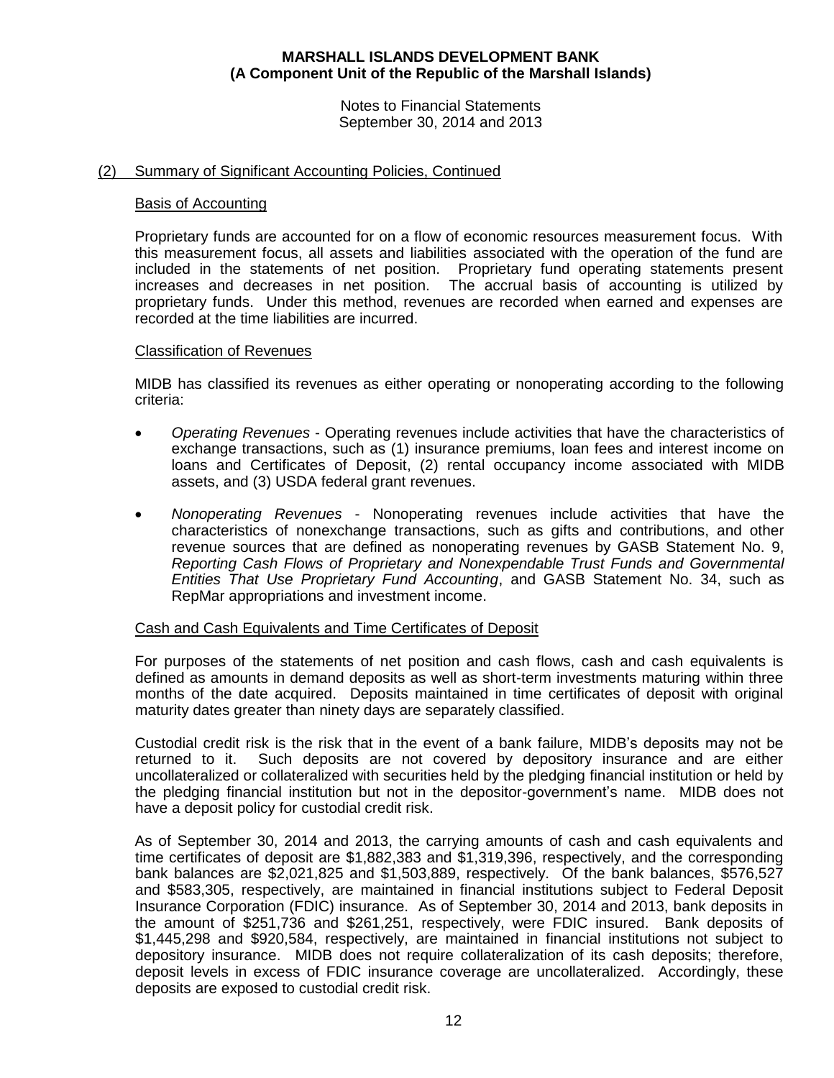Notes to Financial Statements September 30, 2014 and 2013

## (2) Summary of Significant Accounting Policies, Continued

## Basis of Accounting

Proprietary funds are accounted for on a flow of economic resources measurement focus. With this measurement focus, all assets and liabilities associated with the operation of the fund are included in the statements of net position. Proprietary fund operating statements present increases and decreases in net position. The accrual basis of accounting is utilized by proprietary funds. Under this method, revenues are recorded when earned and expenses are recorded at the time liabilities are incurred.

## Classification of Revenues

MIDB has classified its revenues as either operating or nonoperating according to the following criteria:

- *Operating Revenues* Operating revenues include activities that have the characteristics of exchange transactions, such as (1) insurance premiums, loan fees and interest income on loans and Certificates of Deposit, (2) rental occupancy income associated with MIDB assets, and (3) USDA federal grant revenues.
- *Nonoperating Revenues* Nonoperating revenues include activities that have the characteristics of nonexchange transactions, such as gifts and contributions, and other revenue sources that are defined as nonoperating revenues by GASB Statement No. 9, *Reporting Cash Flows of Proprietary and Nonexpendable Trust Funds and Governmental Entities That Use Proprietary Fund Accounting*, and GASB Statement No. 34, such as RepMar appropriations and investment income.

## Cash and Cash Equivalents and Time Certificates of Deposit

For purposes of the statements of net position and cash flows, cash and cash equivalents is defined as amounts in demand deposits as well as short-term investments maturing within three months of the date acquired. Deposits maintained in time certificates of deposit with original maturity dates greater than ninety days are separately classified.

Custodial credit risk is the risk that in the event of a bank failure, MIDB's deposits may not be returned to it. Such deposits are not covered by depository insurance and are either uncollateralized or collateralized with securities held by the pledging financial institution or held by the pledging financial institution but not in the depositor-government's name. MIDB does not have a deposit policy for custodial credit risk.

As of September 30, 2014 and 2013, the carrying amounts of cash and cash equivalents and time certificates of deposit are \$1,882,383 and \$1,319,396, respectively, and the corresponding bank balances are \$2,021,825 and \$1,503,889, respectively. Of the bank balances, \$576,527 and \$583,305, respectively, are maintained in financial institutions subject to Federal Deposit Insurance Corporation (FDIC) insurance. As of September 30, 2014 and 2013, bank deposits in the amount of \$251,736 and \$261,251, respectively, were FDIC insured. Bank deposits of \$1,445,298 and \$920,584, respectively, are maintained in financial institutions not subject to depository insurance. MIDB does not require collateralization of its cash deposits; therefore, deposit levels in excess of FDIC insurance coverage are uncollateralized. Accordingly, these deposits are exposed to custodial credit risk.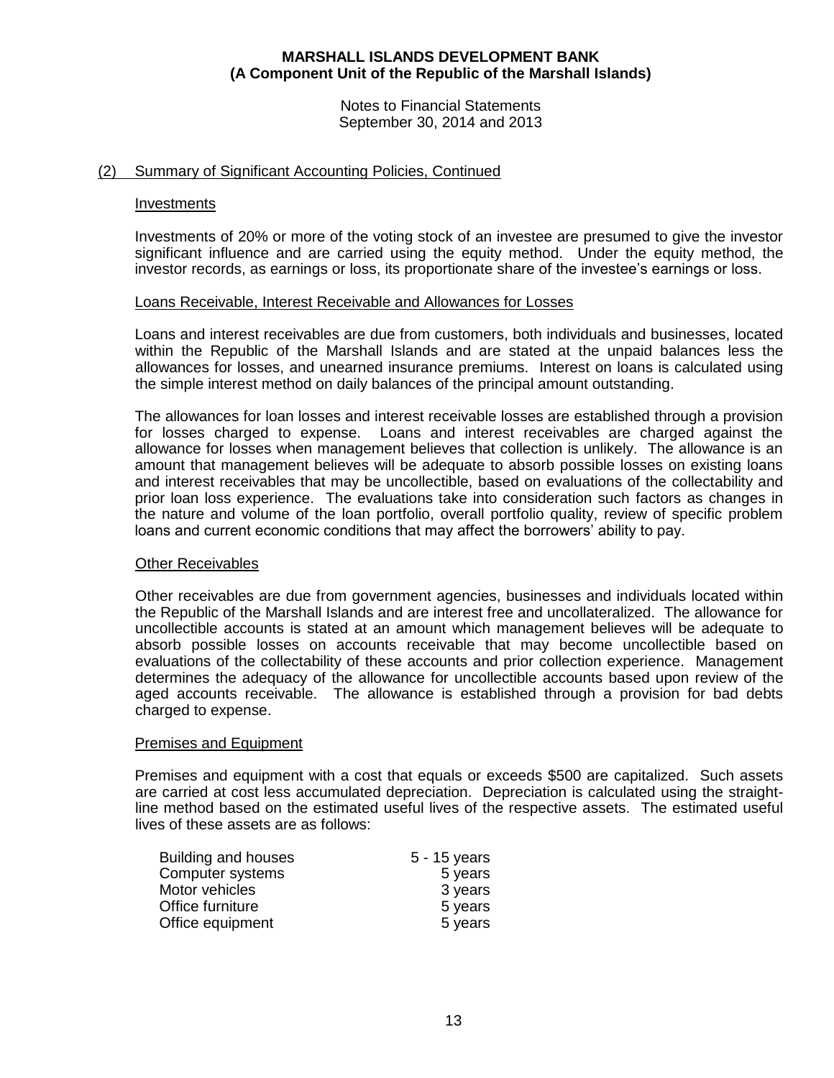Notes to Financial Statements September 30, 2014 and 2013

## (2) Summary of Significant Accounting Policies, Continued

#### **Investments**

Investments of 20% or more of the voting stock of an investee are presumed to give the investor significant influence and are carried using the equity method. Under the equity method, the investor records, as earnings or loss, its proportionate share of the investee's earnings or loss.

#### Loans Receivable, Interest Receivable and Allowances for Losses

Loans and interest receivables are due from customers, both individuals and businesses, located within the Republic of the Marshall Islands and are stated at the unpaid balances less the allowances for losses, and unearned insurance premiums. Interest on loans is calculated using the simple interest method on daily balances of the principal amount outstanding.

The allowances for loan losses and interest receivable losses are established through a provision for losses charged to expense. Loans and interest receivables are charged against the allowance for losses when management believes that collection is unlikely. The allowance is an amount that management believes will be adequate to absorb possible losses on existing loans and interest receivables that may be uncollectible, based on evaluations of the collectability and prior loan loss experience. The evaluations take into consideration such factors as changes in the nature and volume of the loan portfolio, overall portfolio quality, review of specific problem loans and current economic conditions that may affect the borrowers' ability to pay.

#### Other Receivables

Other receivables are due from government agencies, businesses and individuals located within the Republic of the Marshall Islands and are interest free and uncollateralized. The allowance for uncollectible accounts is stated at an amount which management believes will be adequate to absorb possible losses on accounts receivable that may become uncollectible based on evaluations of the collectability of these accounts and prior collection experience. Management determines the adequacy of the allowance for uncollectible accounts based upon review of the aged accounts receivable. The allowance is established through a provision for bad debts charged to expense.

#### Premises and Equipment

Premises and equipment with a cost that equals or exceeds \$500 are capitalized. Such assets are carried at cost less accumulated depreciation. Depreciation is calculated using the straightline method based on the estimated useful lives of the respective assets. The estimated useful lives of these assets are as follows:

| Building and houses | $5 - 15$ years |
|---------------------|----------------|
| Computer systems    | 5 years        |
| Motor vehicles      | 3 years        |
| Office furniture    | 5 years        |
| Office equipment    | 5 years        |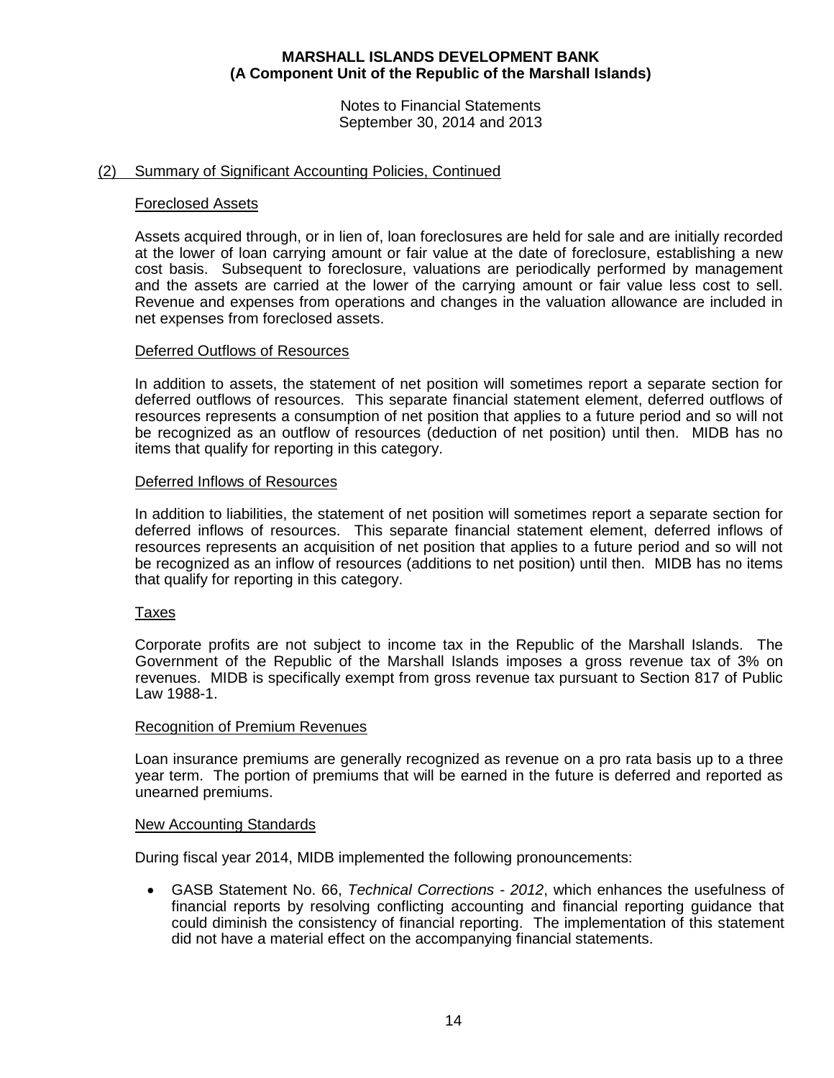Notes to Financial Statements September 30, 2014 and 2013

## (2) Summary of Significant Accounting Policies, Continued

## Foreclosed Assets

Assets acquired through, or in lien of, loan foreclosures are held for sale and are initially recorded at the lower of loan carrying amount or fair value at the date of foreclosure, establishing a new cost basis. Subsequent to foreclosure, valuations are periodically performed by management and the assets are carried at the lower of the carrying amount or fair value less cost to sell. Revenue and expenses from operations and changes in the valuation allowance are included in net expenses from foreclosed assets.

#### Deferred Outflows of Resources

In addition to assets, the statement of net position will sometimes report a separate section for deferred outflows of resources. This separate financial statement element, deferred outflows of resources represents a consumption of net position that applies to a future period and so will not be recognized as an outflow of resources (deduction of net position) until then. MIDB has no items that qualify for reporting in this category.

## Deferred Inflows of Resources

In addition to liabilities, the statement of net position will sometimes report a separate section for deferred inflows of resources. This separate financial statement element, deferred inflows of resources represents an acquisition of net position that applies to a future period and so will not be recognized as an inflow of resources (additions to net position) until then. MIDB has no items that qualify for reporting in this category.

## Taxes

Corporate profits are not subject to income tax in the Republic of the Marshall Islands. The Government of the Republic of the Marshall Islands imposes a gross revenue tax of 3% on revenues. MIDB is specifically exempt from gross revenue tax pursuant to Section 817 of Public Law 1988-1.

#### Recognition of Premium Revenues

Loan insurance premiums are generally recognized as revenue on a pro rata basis up to a three year term. The portion of premiums that will be earned in the future is deferred and reported as unearned premiums.

#### New Accounting Standards

During fiscal year 2014, MIDB implemented the following pronouncements:

 GASB Statement No. 66, *Technical Corrections - 2012*, which enhances the usefulness of financial reports by resolving conflicting accounting and financial reporting guidance that could diminish the consistency of financial reporting. The implementation of this statement did not have a material effect on the accompanying financial statements.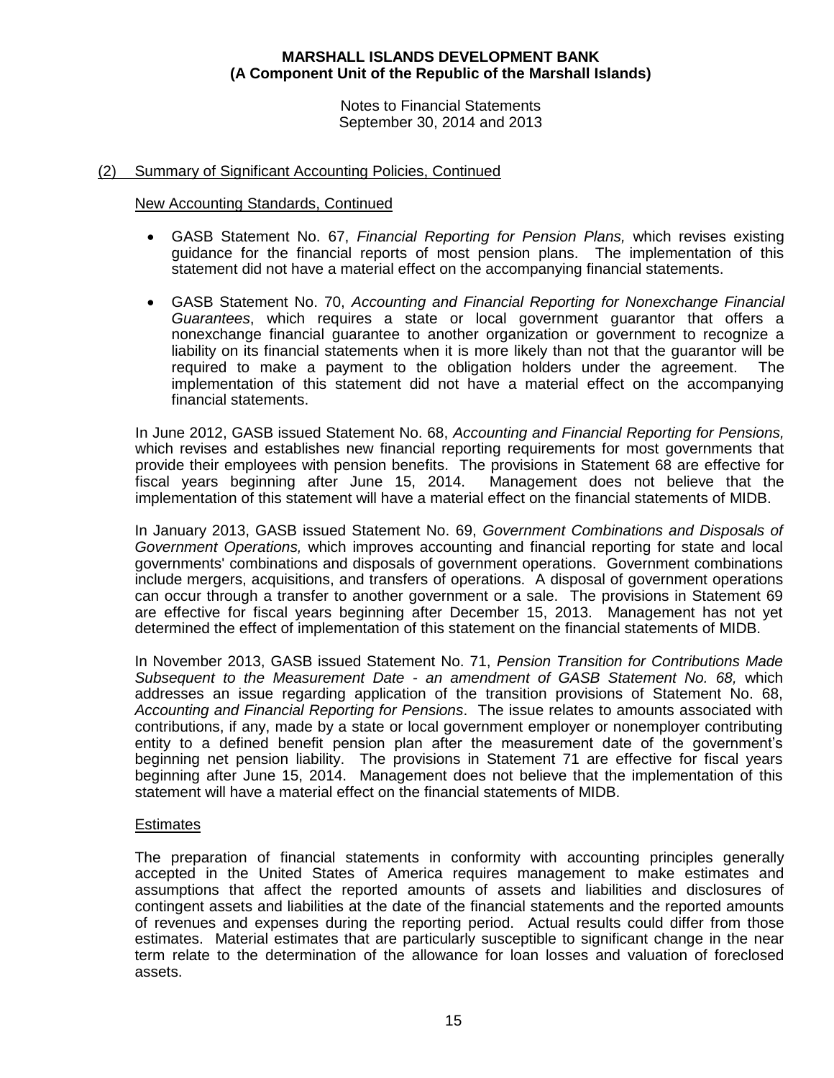Notes to Financial Statements September 30, 2014 and 2013

## (2) Summary of Significant Accounting Policies, Continued

## New Accounting Standards, Continued

- GASB Statement No. 67, *Financial Reporting for Pension Plans,* which revises existing guidance for the financial reports of most pension plans. The implementation of this statement did not have a material effect on the accompanying financial statements.
- GASB Statement No. 70, *Accounting and Financial Reporting for Nonexchange Financial Guarantees*, which requires a state or local government guarantor that offers a nonexchange financial guarantee to another organization or government to recognize a liability on its financial statements when it is more likely than not that the guarantor will be required to make a payment to the obligation holders under the agreement. The implementation of this statement did not have a material effect on the accompanying financial statements.

In June 2012, GASB issued Statement No. 68, *Accounting and Financial Reporting for Pensions,*  which revises and establishes new financial reporting requirements for most governments that provide their employees with pension benefits. The provisions in Statement 68 are effective for fiscal years beginning after June 15, 2014. Management does not believe that the implementation of this statement will have a material effect on the financial statements of MIDB.

In January 2013, GASB issued Statement No. 69, *Government Combinations and Disposals of Government Operations,* which improves accounting and financial reporting for state and local governments' combinations and disposals of government operations. Government combinations include mergers, acquisitions, and transfers of operations. A disposal of government operations can occur through a transfer to another government or a sale. The provisions in Statement 69 are effective for fiscal years beginning after December 15, 2013. Management has not yet determined the effect of implementation of this statement on the financial statements of MIDB.

In November 2013, GASB issued Statement No. 71, *Pension Transition for Contributions Made Subsequent to the Measurement Date - an amendment of GASB Statement No. 68,* which addresses an issue regarding application of the transition provisions of Statement No. 68, *Accounting and Financial Reporting for Pensions*. The issue relates to amounts associated with contributions, if any, made by a state or local government employer or nonemployer contributing entity to a defined benefit pension plan after the measurement date of the government's beginning net pension liability. The provisions in Statement 71 are effective for fiscal years beginning after June 15, 2014. Management does not believe that the implementation of this statement will have a material effect on the financial statements of MIDB.

## **Estimates**

The preparation of financial statements in conformity with accounting principles generally accepted in the United States of America requires management to make estimates and assumptions that affect the reported amounts of assets and liabilities and disclosures of contingent assets and liabilities at the date of the financial statements and the reported amounts of revenues and expenses during the reporting period. Actual results could differ from those estimates. Material estimates that are particularly susceptible to significant change in the near term relate to the determination of the allowance for loan losses and valuation of foreclosed assets.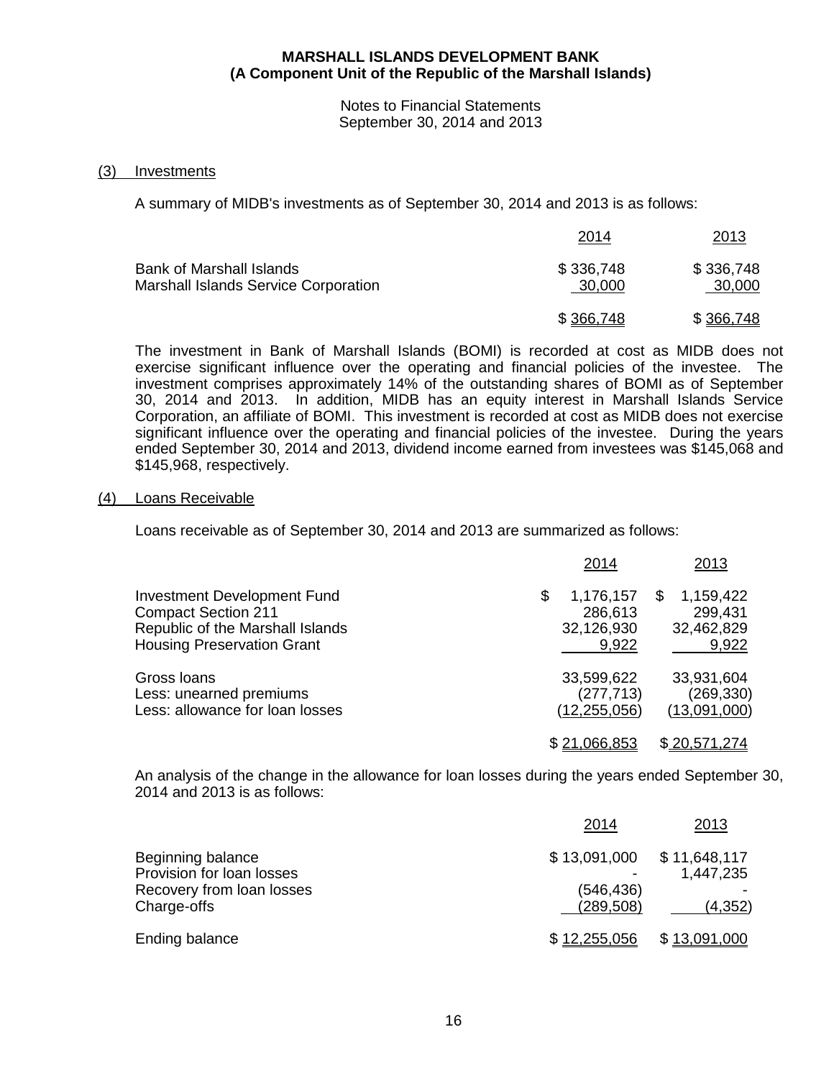Notes to Financial Statements September 30, 2014 and 2013

#### (3) Investments

A summary of MIDB's investments as of September 30, 2014 and 2013 is as follows:

|                                                                  | 2014                | <u> 2013</u>        |
|------------------------------------------------------------------|---------------------|---------------------|
| Bank of Marshall Islands<br>Marshall Islands Service Corporation | \$336,748<br>30,000 | \$336,748<br>30,000 |
|                                                                  | \$366,748           | \$366,748           |

The investment in Bank of Marshall Islands (BOMI) is recorded at cost as MIDB does not exercise significant influence over the operating and financial policies of the investee. The investment comprises approximately 14% of the outstanding shares of BOMI as of September 30, 2014 and 2013. In addition, MIDB has an equity interest in Marshall Islands Service Corporation, an affiliate of BOMI. This investment is recorded at cost as MIDB does not exercise significant influence over the operating and financial policies of the investee. During the years ended September 30, 2014 and 2013, dividend income earned from investees was \$145,068 and \$145,968, respectively.

#### (4) Loans Receivable

Loans receivable as of September 30, 2014 and 2013 are summarized as follows:

|                                                                                                                                           | 2014                                              | 2013                                              |
|-------------------------------------------------------------------------------------------------------------------------------------------|---------------------------------------------------|---------------------------------------------------|
| <b>Investment Development Fund</b><br><b>Compact Section 211</b><br>Republic of the Marshall Islands<br><b>Housing Preservation Grant</b> | \$<br>1,176,157<br>286,613<br>32,126,930<br>9,922 | 1,159,422<br>\$<br>299,431<br>32,462,829<br>9,922 |
| Gross Ioans<br>Less: unearned premiums<br>Less: allowance for loan losses                                                                 | 33,599,622<br>(277, 713)<br>(12, 255, 056)        | 33,931,604<br>(269, 330)<br>(13,091,000)          |
|                                                                                                                                           | \$21,066,853                                      | \$20,571,274                                      |

An analysis of the change in the allowance for loan losses during the years ended September 30, 2014 and 2013 is as follows:

|                                                                                            | 2014                                                  | 2013                  |
|--------------------------------------------------------------------------------------------|-------------------------------------------------------|-----------------------|
| Beginning balance<br>Provision for loan losses<br>Recovery from loan losses<br>Charge-offs | \$13,091,000 \$11,648,117<br>(546, 436)<br>(289, 508) | 1,447,235<br>(4, 352) |
| Ending balance                                                                             | \$12,255,056                                          | \$13,091,000          |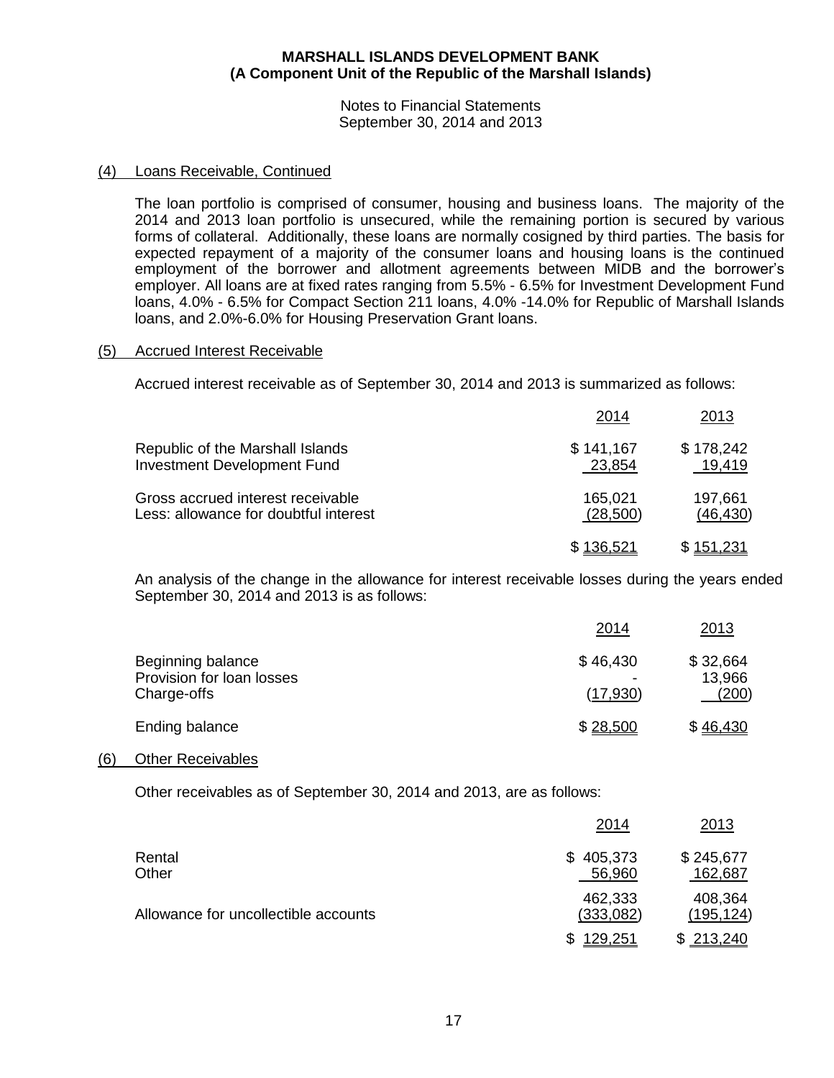Notes to Financial Statements September 30, 2014 and 2013

## (4) Loans Receivable, Continued

The loan portfolio is comprised of consumer, housing and business loans. The majority of the 2014 and 2013 loan portfolio is unsecured, while the remaining portion is secured by various forms of collateral. Additionally, these loans are normally cosigned by third parties. The basis for expected repayment of a majority of the consumer loans and housing loans is the continued employment of the borrower and allotment agreements between MIDB and the borrower's employer. All loans are at fixed rates ranging from 5.5% - 6.5% for Investment Development Fund loans, 4.0% - 6.5% for Compact Section 211 loans, 4.0% -14.0% for Republic of Marshall Islands loans, and 2.0%-6.0% for Housing Preservation Grant loans.

#### (5) Accrued Interest Receivable

Accrued interest receivable as of September 30, 2014 and 2013 is summarized as follows:

|                                       | 2014      | 2013      |
|---------------------------------------|-----------|-----------|
| Republic of the Marshall Islands      | \$141,167 | \$178,242 |
| <b>Investment Development Fund</b>    | 23,854    | 19,419    |
| Gross accrued interest receivable     | 165,021   | 197,661   |
| Less: allowance for doubtful interest | (28, 500) | (46, 430) |
|                                       | \$136,521 | \$151,231 |

An analysis of the change in the allowance for interest receivable losses during the years ended September 30, 2014 and 2013 is as follows:

|                                          | 2014             | 2013            |
|------------------------------------------|------------------|-----------------|
| Beginning balance                        | \$46,430         | \$32,664        |
| Provision for loan losses<br>Charge-offs | $\,$<br>(17,930) | 13,966<br>(200) |
| Ending balance                           | \$28,500         | \$46,430        |

#### (6) Other Receivables

Other receivables as of September 30, 2014 and 2013, are as follows:

|                                      | 2014                     | 2013                  |
|--------------------------------------|--------------------------|-----------------------|
| Rental<br>Other                      | 405,373<br>\$.<br>56,960 | \$245,677<br>162,687  |
| Allowance for uncollectible accounts | 462,333<br>(333,082)     | 408,364<br>(195, 124) |
|                                      | 129,251                  | \$213,240             |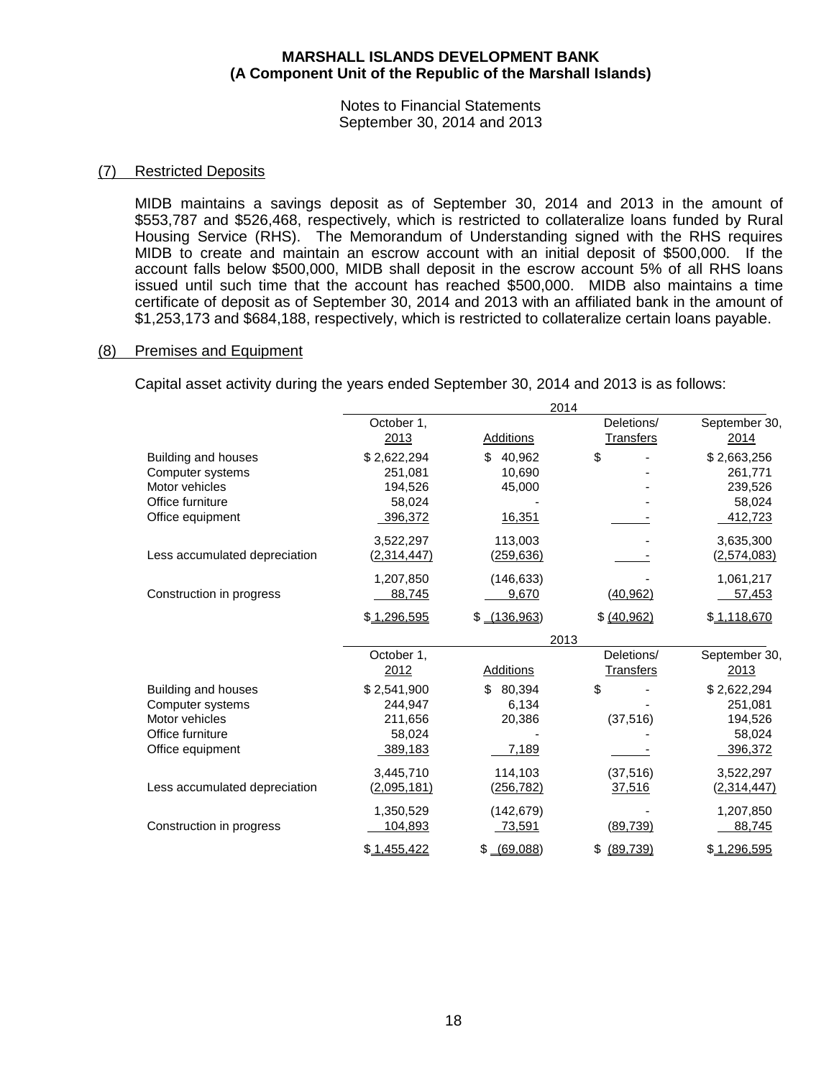Notes to Financial Statements September 30, 2014 and 2013

## (7) Restricted Deposits

MIDB maintains a savings deposit as of September 30, 2014 and 2013 in the amount of \$553,787 and \$526,468, respectively, which is restricted to collateralize loans funded by Rural Housing Service (RHS). The Memorandum of Understanding signed with the RHS requires MIDB to create and maintain an escrow account with an initial deposit of \$500,000. If the account falls below \$500,000, MIDB shall deposit in the escrow account 5% of all RHS loans issued until such time that the account has reached \$500,000. MIDB also maintains a time certificate of deposit as of September 30, 2014 and 2013 with an affiliated bank in the amount of \$1,253,173 and \$684,188, respectively, which is restricted to collateralize certain loans payable.

#### (8) Premises and Equipment

Capital asset activity during the years ended September 30, 2014 and 2013 is as follows:

|                                                                                                   |                                                        | 2014                                        |                                                |                                                        |
|---------------------------------------------------------------------------------------------------|--------------------------------------------------------|---------------------------------------------|------------------------------------------------|--------------------------------------------------------|
|                                                                                                   | October 1,<br>2013                                     | Additions                                   | Deletions/<br><b>Transfers</b>                 | September 30,<br>2014                                  |
| Building and houses<br>Computer systems<br>Motor vehicles<br>Office furniture<br>Office equipment | \$2,622,294<br>251,081<br>194,526<br>58,024<br>396,372 | 40,962<br>\$.<br>10,690<br>45,000<br>16,351 | \$                                             | \$2,663,256<br>261,771<br>239,526<br>58,024<br>412,723 |
| Less accumulated depreciation                                                                     | 3,522,297<br>(2,314,447)                               | 113,003<br>(259, 636)                       |                                                | 3,635,300<br>(2,574,083)                               |
| Construction in progress                                                                          | 1,207,850<br>88,745                                    | (146, 633)<br>9,670                         | (40, 962)                                      | 1,061,217<br>57,453                                    |
|                                                                                                   | \$1,296,595<br>October 1,<br>2012                      | \$(136,963)<br>2013<br>Additions            | \$ (40, 962)<br>Deletions/<br><b>Transfers</b> | \$1,118,670<br>September 30,<br>2013                   |
| Building and houses<br>Computer systems<br>Motor vehicles<br>Office furniture<br>Office equipment | \$2,541,900<br>244,947<br>211,656<br>58,024<br>389,183 | 80.394<br>\$.<br>6,134<br>20,386<br>7,189   | \$<br>(37, 516)                                | \$2,622,294<br>251,081<br>194,526<br>58,024<br>396,372 |
| Less accumulated depreciation                                                                     | 3,445,710<br>(2,095,181)                               | 114,103<br>(256, 782)                       | (37, 516)<br>37,516                            | 3,522,297<br>(2,314,447)                               |
| Construction in progress                                                                          | 1,350,529<br>104,893                                   | (142, 679)<br><u>73,591</u>                 | (89, 739)                                      | 1,207,850<br>88,745                                    |
|                                                                                                   | \$1,455,422                                            | \$ (69,088)                                 | (89, 739)<br>\$                                | \$1,296,595                                            |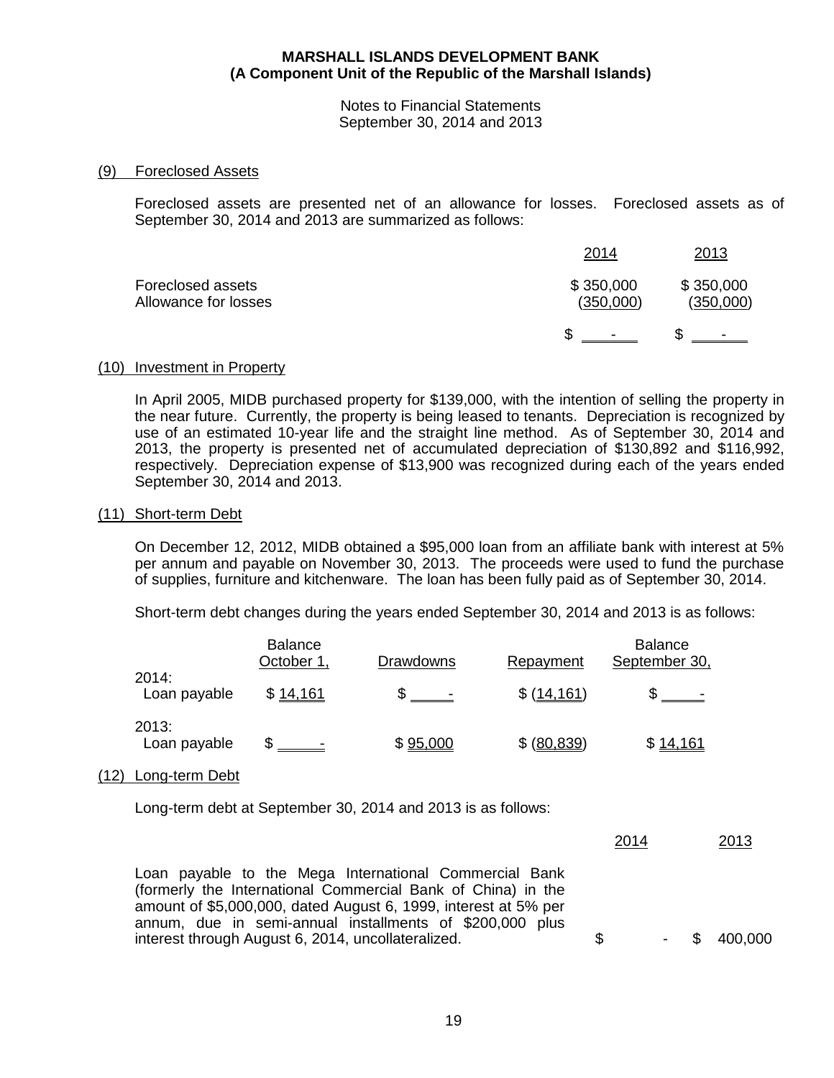Notes to Financial Statements September 30, 2014 and 2013

#### (9) Foreclosed Assets

Foreclosed assets are presented net of an allowance for losses. Foreclosed assets as of September 30, 2014 and 2013 are summarized as follows:

|                                           | <u> 2014</u>           | 2013                   |
|-------------------------------------------|------------------------|------------------------|
| Foreclosed assets<br>Allowance for losses | \$350,000<br>(350,000) | \$350,000<br>(350,000) |
|                                           | $\frac{1}{2}$          | $\frac{1}{\sqrt{2}}$   |

#### (10) Investment in Property

In April 2005, MIDB purchased property for \$139,000, with the intention of selling the property in the near future. Currently, the property is being leased to tenants. Depreciation is recognized by use of an estimated 10-year life and the straight line method. As of September 30, 2014 and 2013, the property is presented net of accumulated depreciation of \$130,892 and \$116,992, respectively. Depreciation expense of \$13,900 was recognized during each of the years ended September 30, 2014 and 2013.

#### (11) Short-term Debt

On December 12, 2012, MIDB obtained a \$95,000 loan from an affiliate bank with interest at 5% per annum and payable on November 30, 2013. The proceeds were used to fund the purchase of supplies, furniture and kitchenware. The loan has been fully paid as of September 30, 2014.

Short-term debt changes during the years ended September 30, 2014 and 2013 is as follows:

|                       | <b>Balance</b><br>October 1 | Drawdowns | Repayment    | <b>Balance</b><br>September 30, |
|-----------------------|-----------------------------|-----------|--------------|---------------------------------|
| 2014:<br>Loan payable | \$14,161                    |           | \$ (14.161)  |                                 |
| 2013:<br>Loan payable |                             | \$95,000  | \$ (80, 839) | \$14,161                        |

#### (12) Long-term Debt

Long-term debt at September 30, 2014 and 2013 is as follows:

|                                                                                                                        | <u>2014</u> |                | 2013      |
|------------------------------------------------------------------------------------------------------------------------|-------------|----------------|-----------|
| Loan payable to the Mega International Commercial Bank<br>(formerly the International Commercial Bank of China) in the |             |                |           |
| amount of \$5,000,000, dated August 6, 1999, interest at 5% per                                                        |             |                |           |
| annum, due in semi-annual installments of \$200,000 plus                                                               |             |                |           |
| interest through August 6, 2014, uncollateralized.                                                                     | \$.         | $\blacksquare$ | \$400,000 |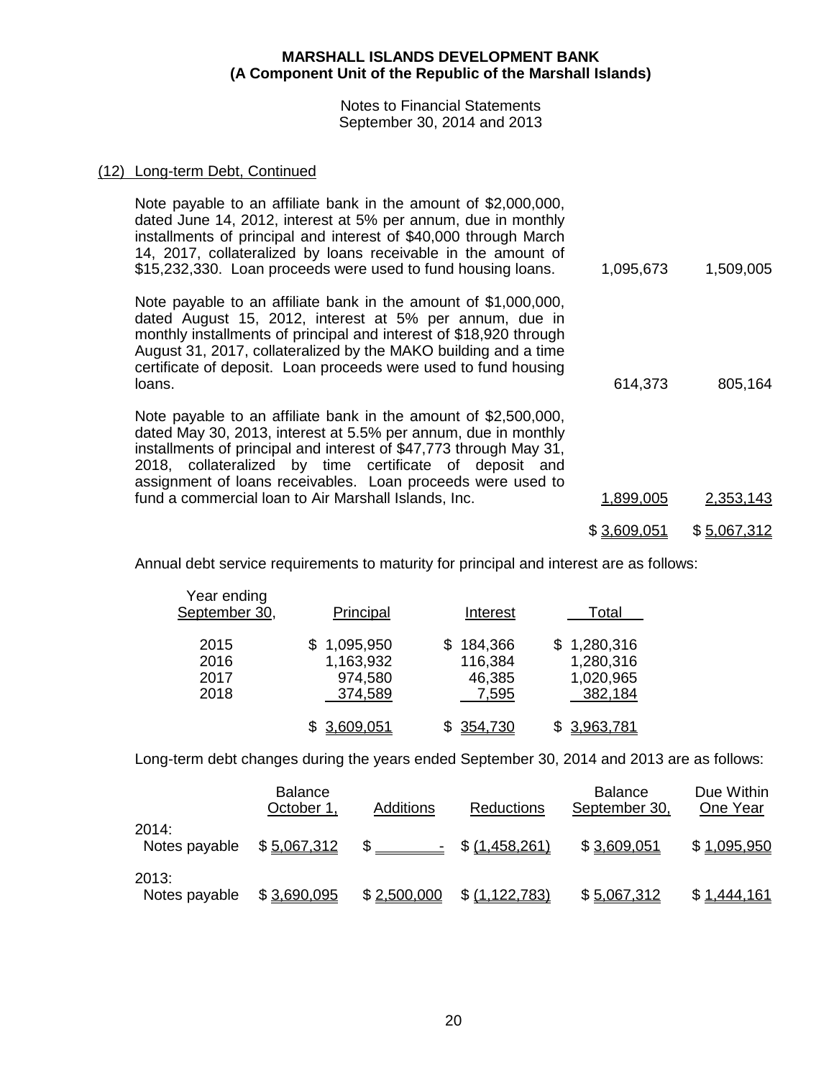Notes to Financial Statements September 30, 2014 and 2013

## (12) Long-term Debt, Continued

| Note payable to an affiliate bank in the amount of \$2,000,000,<br>dated June 14, 2012, interest at 5% per annum, due in monthly<br>installments of principal and interest of \$40,000 through March<br>14, 2017, collateralized by loans receivable in the amount of                                                                            |             |                      |
|--------------------------------------------------------------------------------------------------------------------------------------------------------------------------------------------------------------------------------------------------------------------------------------------------------------------------------------------------|-------------|----------------------|
| \$15,232,330. Loan proceeds were used to fund housing loans.                                                                                                                                                                                                                                                                                     | 1,095,673   | 1,509,005            |
| Note payable to an affiliate bank in the amount of \$1,000,000,<br>dated August 15, 2012, interest at 5% per annum, due in<br>monthly installments of principal and interest of \$18,920 through<br>August 31, 2017, collateralized by the MAKO building and a time<br>certificate of deposit. Loan proceeds were used to fund housing<br>loans. | 614,373     | 805,164              |
|                                                                                                                                                                                                                                                                                                                                                  |             |                      |
| Note payable to an affiliate bank in the amount of \$2,500,000,<br>dated May 30, 2013, interest at 5.5% per annum, due in monthly<br>installments of principal and interest of \$47,773 through May 31,<br>2018, collateralized by time certificate of deposit and<br>assignment of loans receivables. Loan proceeds were used to                |             |                      |
| fund a commercial loan to Air Marshall Islands, Inc.                                                                                                                                                                                                                                                                                             | 1,899,005   | 2,353,143            |
|                                                                                                                                                                                                                                                                                                                                                  | \$3,609,051 | <u> \$ 5.067,312</u> |

Annual debt service requirements to maturity for principal and interest are as follows:

| Year ending<br>September 30, | Principal                                    | Interest                              | Total                                            |
|------------------------------|----------------------------------------------|---------------------------------------|--------------------------------------------------|
| 2015<br>2016<br>2017<br>2018 | 1,095,950<br>1,163,932<br>974,580<br>374,589 | 184,366<br>116,384<br>46,385<br>7,595 | \$1,280,316<br>1,280,316<br>1,020,965<br>382,184 |
|                              | \$3,609,051                                  | \$354,730                             | \$3,963,781                                      |

Long-term debt changes during the years ended September 30, 2014 and 2013 are as follows:

|                        | <b>Balance</b><br>October 1 | Additions   | <b>Reductions</b>              | <b>Balance</b><br>September 30, | Due Within<br>One Year |
|------------------------|-----------------------------|-------------|--------------------------------|---------------------------------|------------------------|
| 2014:<br>Notes payable | \$5,067,312                 |             | <u>-</u> \$ <u>(1,458,261)</u> | \$3,609,051                     | \$1,095,950            |
| 2013:<br>Notes payable | \$3,690,095                 | \$2,500,000 | \$ (1,122,783)                 | \$5,067,312                     | \$1,444,161            |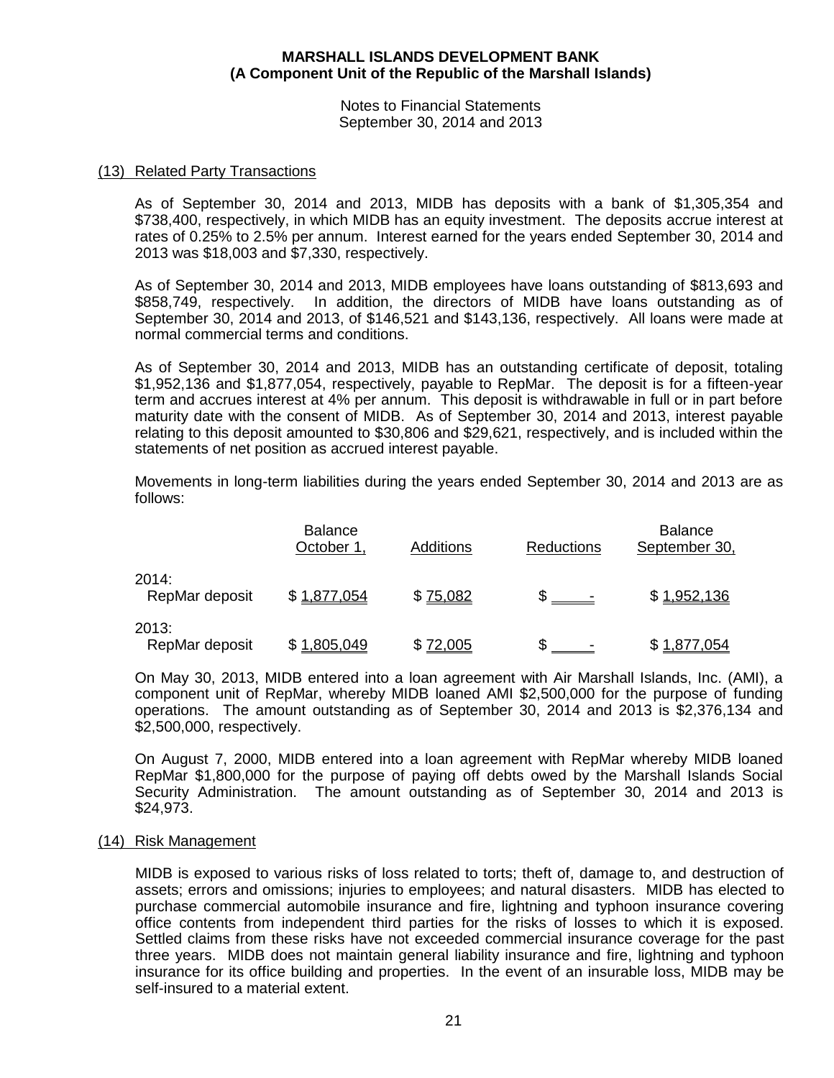Notes to Financial Statements September 30, 2014 and 2013

#### (13) Related Party Transactions

As of September 30, 2014 and 2013, MIDB has deposits with a bank of \$1,305,354 and \$738,400, respectively, in which MIDB has an equity investment. The deposits accrue interest at rates of 0.25% to 2.5% per annum. Interest earned for the years ended September 30, 2014 and 2013 was \$18,003 and \$7,330, respectively.

As of September 30, 2014 and 2013, MIDB employees have loans outstanding of \$813,693 and \$858,749, respectively. In addition, the directors of MIDB have loans outstanding as of September 30, 2014 and 2013, of \$146,521 and \$143,136, respectively. All loans were made at normal commercial terms and conditions.

As of September 30, 2014 and 2013, MIDB has an outstanding certificate of deposit, totaling \$1,952,136 and \$1,877,054, respectively, payable to RepMar. The deposit is for a fifteen-year term and accrues interest at 4% per annum. This deposit is withdrawable in full or in part before maturity date with the consent of MIDB. As of September 30, 2014 and 2013, interest payable relating to this deposit amounted to \$30,806 and \$29,621, respectively, and is included within the statements of net position as accrued interest payable.

Movements in long-term liabilities during the years ended September 30, 2014 and 2013 are as follows:

|                         | <b>Balance</b><br>October 1 | <b>Additions</b> | <b>Reductions</b> | <b>Balance</b><br>September 30, |
|-------------------------|-----------------------------|------------------|-------------------|---------------------------------|
| 2014:<br>RepMar deposit | \$1,877,054                 | \$75,082         |                   | \$1,952,136                     |
| 2013:<br>RepMar deposit | 1,805,049                   | \$72,005         | S.                | \$1,877,054                     |

On May 30, 2013, MIDB entered into a loan agreement with Air Marshall Islands, Inc. (AMI), a component unit of RepMar, whereby MIDB loaned AMI \$2,500,000 for the purpose of funding operations. The amount outstanding as of September 30, 2014 and 2013 is \$2,376,134 and \$2,500,000, respectively.

On August 7, 2000, MIDB entered into a loan agreement with RepMar whereby MIDB loaned RepMar \$1,800,000 for the purpose of paying off debts owed by the Marshall Islands Social Security Administration. The amount outstanding as of September 30, 2014 and 2013 is \$24,973.

#### (14) Risk Management

MIDB is exposed to various risks of loss related to torts; theft of, damage to, and destruction of assets; errors and omissions; injuries to employees; and natural disasters. MIDB has elected to purchase commercial automobile insurance and fire, lightning and typhoon insurance covering office contents from independent third parties for the risks of losses to which it is exposed. Settled claims from these risks have not exceeded commercial insurance coverage for the past three years. MIDB does not maintain general liability insurance and fire, lightning and typhoon insurance for its office building and properties. In the event of an insurable loss, MIDB may be self-insured to a material extent.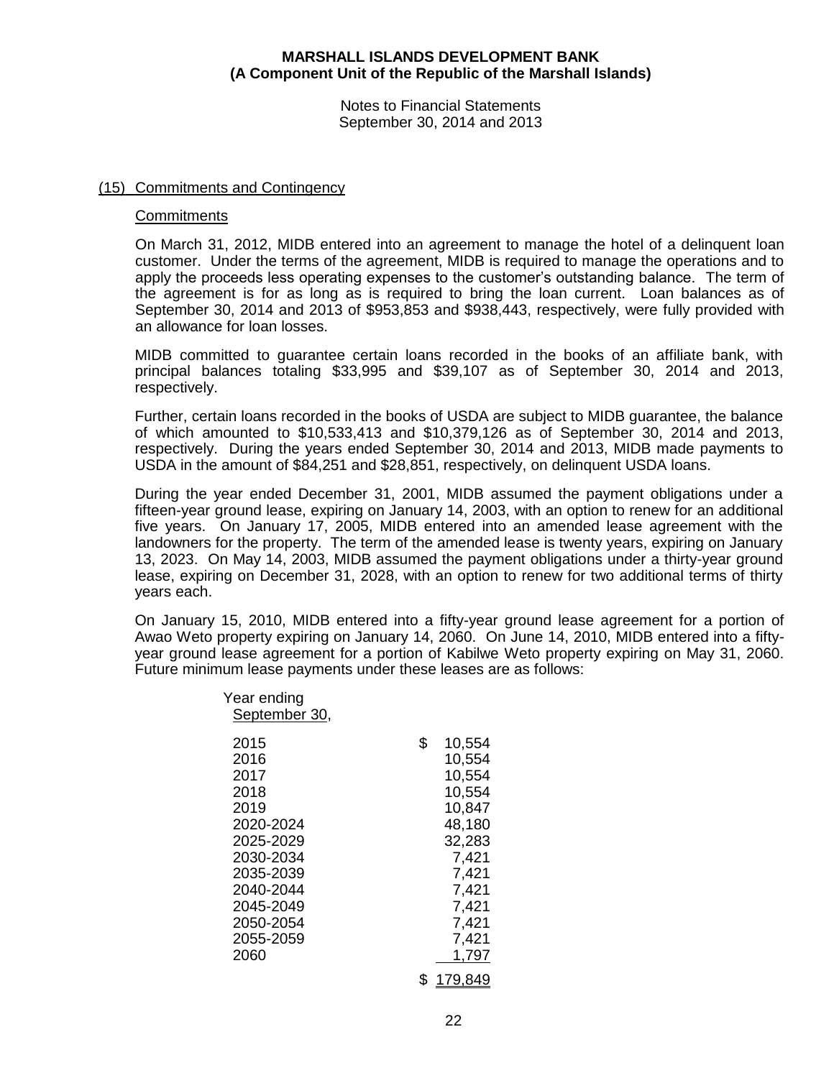Notes to Financial Statements September 30, 2014 and 2013

## (15) Commitments and Contingency

#### **Commitments**

On March 31, 2012, MIDB entered into an agreement to manage the hotel of a delinquent loan customer. Under the terms of the agreement, MIDB is required to manage the operations and to apply the proceeds less operating expenses to the customer's outstanding balance. The term of the agreement is for as long as is required to bring the loan current. Loan balances as of September 30, 2014 and 2013 of \$953,853 and \$938,443, respectively, were fully provided with an allowance for loan losses.

MIDB committed to guarantee certain loans recorded in the books of an affiliate bank, with principal balances totaling \$33,995 and \$39,107 as of September 30, 2014 and 2013, respectively.

Further, certain loans recorded in the books of USDA are subject to MIDB guarantee, the balance of which amounted to \$10,533,413 and \$10,379,126 as of September 30, 2014 and 2013, respectively. During the years ended September 30, 2014 and 2013, MIDB made payments to USDA in the amount of \$84,251 and \$28,851, respectively, on delinquent USDA loans.

During the year ended December 31, 2001, MIDB assumed the payment obligations under a fifteen-year ground lease, expiring on January 14, 2003, with an option to renew for an additional five years. On January 17, 2005, MIDB entered into an amended lease agreement with the landowners for the property. The term of the amended lease is twenty years, expiring on January 13, 2023. On May 14, 2003, MIDB assumed the payment obligations under a thirty-year ground lease, expiring on December 31, 2028, with an option to renew for two additional terms of thirty years each.

On January 15, 2010, MIDB entered into a fifty-year ground lease agreement for a portion of Awao Weto property expiring on January 14, 2060. On June 14, 2010, MIDB entered into a fiftyyear ground lease agreement for a portion of Kabilwe Weto property expiring on May 31, 2060. Future minimum lease payments under these leases are as follows:

| Year ending<br>September 30,                                                             |                                                                                            |
|------------------------------------------------------------------------------------------|--------------------------------------------------------------------------------------------|
| 2015<br>2016<br>2017<br>2018<br>2019<br>2020-2024<br>2025-2029<br>2030-2034<br>2035-2039 | \$<br>10,554<br>10,554<br>10,554<br>10,554<br>10,847<br>48,180<br>32,283<br>7,421<br>7,421 |
| 2040-2044<br>2045-2049<br>2050-2054<br>2055-2059<br>2060                                 | 7,421<br>7,421<br>7,421<br>7,421<br>1,797<br><u>179,849</u>                                |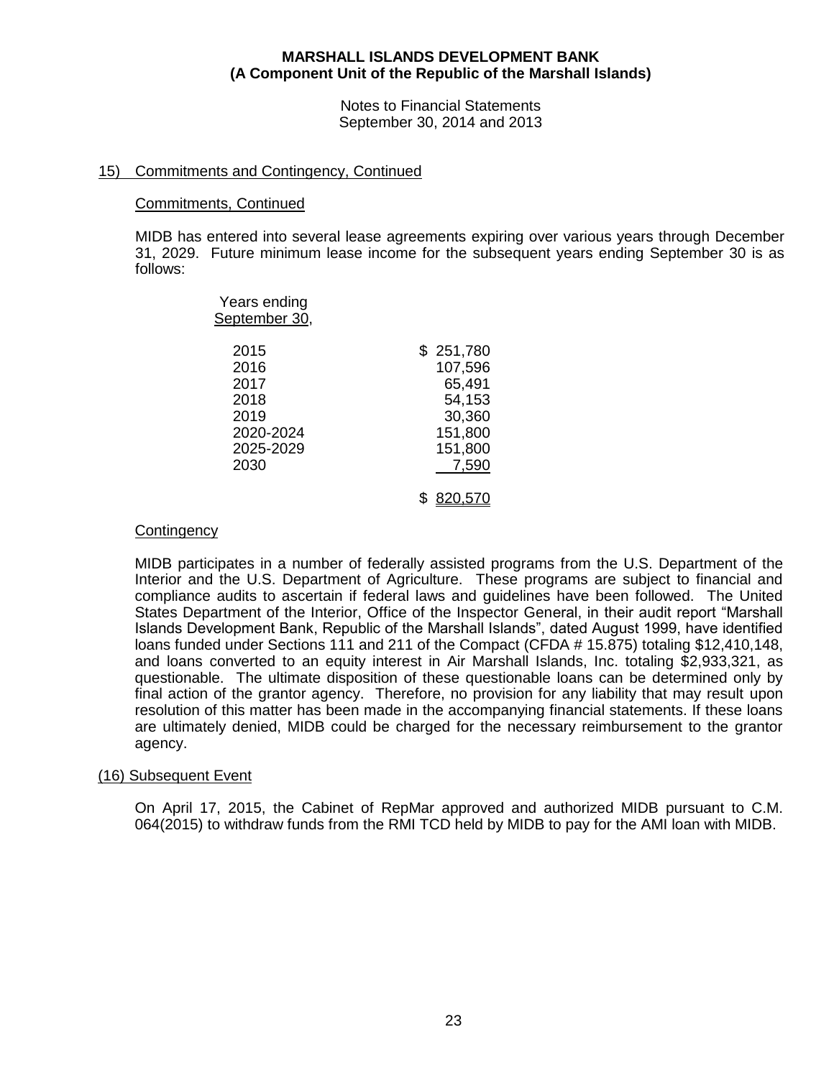Notes to Financial Statements September 30, 2014 and 2013

## 15) Commitments and Contingency, Continued

#### Commitments, Continued

MIDB has entered into several lease agreements expiring over various years through December 31, 2029. Future minimum lease income for the subsequent years ending September 30 is as follows:

| Years ending<br>September 30,                                          |                                                                                   |
|------------------------------------------------------------------------|-----------------------------------------------------------------------------------|
| 2015<br>2016<br>2017<br>2018<br>2019<br>2020-2024<br>2025-2029<br>2030 | \$251,780<br>107,596<br>65,491<br>54,153<br>30,360<br>151,800<br>151,800<br>7,590 |
|                                                                        |                                                                                   |

## **Contingency**

MIDB participates in a number of federally assisted programs from the U.S. Department of the Interior and the U.S. Department of Agriculture. These programs are subject to financial and compliance audits to ascertain if federal laws and guidelines have been followed. The United States Department of the Interior, Office of the Inspector General, in their audit report "Marshall Islands Development Bank, Republic of the Marshall Islands", dated August 1999, have identified loans funded under Sections 111 and 211 of the Compact (CFDA # 15.875) totaling \$12,410,148, and loans converted to an equity interest in Air Marshall Islands, Inc. totaling \$2,933,321, as questionable. The ultimate disposition of these questionable loans can be determined only by final action of the grantor agency. Therefore, no provision for any liability that may result upon resolution of this matter has been made in the accompanying financial statements. If these loans are ultimately denied, MIDB could be charged for the necessary reimbursement to the grantor agency.

## (16) Subsequent Event

On April 17, 2015, the Cabinet of RepMar approved and authorized MIDB pursuant to C.M. 064(2015) to withdraw funds from the RMI TCD held by MIDB to pay for the AMI loan with MIDB.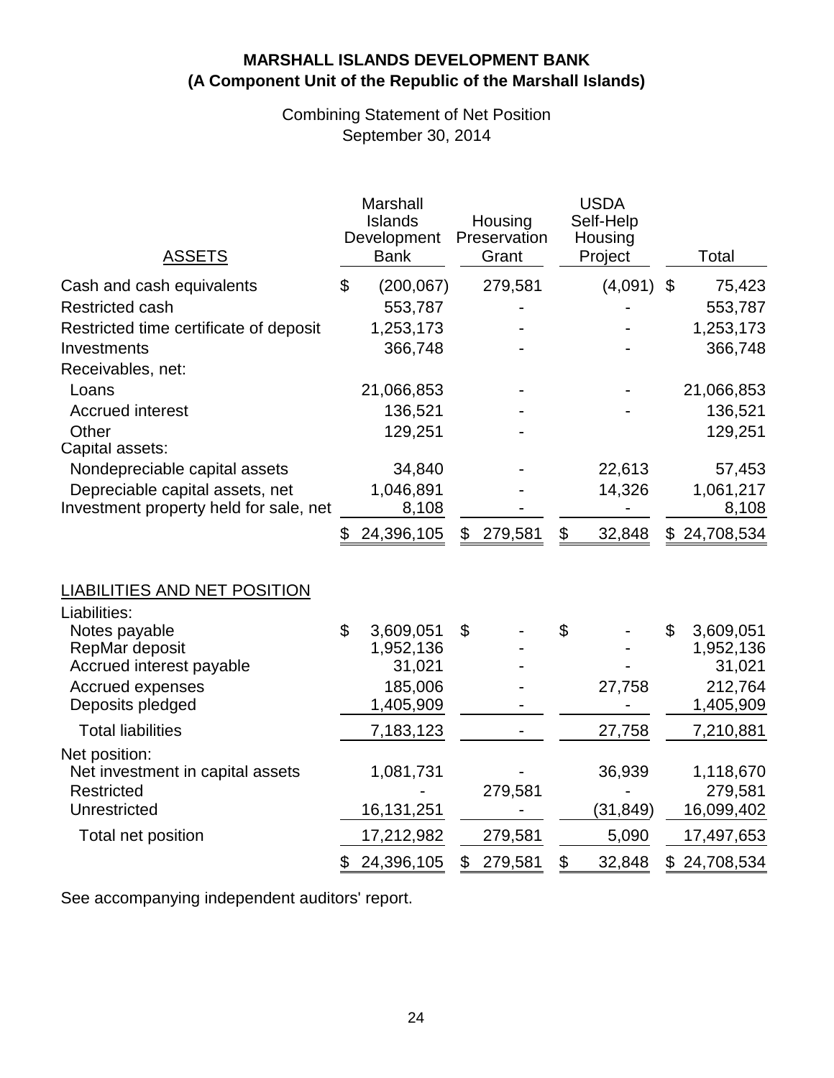# Combining Statement of Net Position September 30, 2014

| <b>ASSETS</b>                                     | Marshall<br><b>Islands</b><br>Development<br><b>Bank</b> | Housing<br>Preservation<br>Grant |                       | <b>USDA</b><br>Self-Help<br>Housing<br>Project |       | Total      |
|---------------------------------------------------|----------------------------------------------------------|----------------------------------|-----------------------|------------------------------------------------|-------|------------|
| Cash and cash equivalents                         | \$<br>(200, 067)                                         | 279,581                          |                       | (4,091)                                        | \$    | 75,423     |
| <b>Restricted cash</b>                            | 553,787                                                  |                                  |                       |                                                |       | 553,787    |
| Restricted time certificate of deposit            | 1,253,173                                                |                                  |                       |                                                |       | 1,253,173  |
| Investments                                       | 366,748                                                  |                                  |                       |                                                |       | 366,748    |
| Receivables, net:                                 |                                                          |                                  |                       |                                                |       |            |
| Loans                                             | 21,066,853                                               |                                  |                       |                                                |       | 21,066,853 |
| <b>Accrued interest</b>                           | 136,521                                                  |                                  |                       |                                                |       | 136,521    |
| Other<br>Capital assets:                          | 129,251                                                  |                                  |                       |                                                |       | 129,251    |
| Nondepreciable capital assets                     | 34,840                                                   |                                  |                       | 22,613                                         |       | 57,453     |
| Depreciable capital assets, net                   | 1,046,891                                                |                                  |                       | 14,326                                         |       | 1,061,217  |
| Investment property held for sale, net            | 8,108                                                    |                                  |                       |                                                |       | 8,108      |
|                                                   | 24,396,105                                               | \$<br>279,581                    | \$                    | 32,848                                         | $\$\$ | 24,708,534 |
| <b>LIABILITIES AND NET POSITION</b>               |                                                          |                                  |                       |                                                |       |            |
| Liabilities:                                      |                                                          |                                  |                       |                                                |       |            |
| Notes payable                                     | \$<br>3,609,051                                          | \$                               | $\boldsymbol{\theta}$ |                                                | \$    | 3,609,051  |
| RepMar deposit                                    | 1,952,136                                                |                                  |                       |                                                |       | 1,952,136  |
| Accrued interest payable                          | 31,021                                                   |                                  |                       |                                                |       | 31,021     |
| <b>Accrued expenses</b>                           | 185,006                                                  |                                  |                       | 27,758                                         |       | 212,764    |
| Deposits pledged                                  | 1,405,909                                                |                                  |                       |                                                |       | 1,405,909  |
| <b>Total liabilities</b>                          | 7,183,123                                                |                                  |                       | 27,758                                         |       | 7,210,881  |
| Net position:<br>Net investment in capital assets | 1,081,731                                                |                                  |                       | 36,939                                         |       | 1,118,670  |
| <b>Restricted</b>                                 |                                                          | 279,581                          |                       |                                                |       | 279,581    |
| Unrestricted                                      | 16,131,251                                               |                                  |                       | (31, 849)                                      |       | 16,099,402 |
| Total net position                                | 17,212,982                                               | 279,581                          |                       | 5,090                                          |       | 17,497,653 |
|                                                   | \$<br>24,396,105                                         | \$<br>279,581                    | \$                    | 32,848                                         | \$    | 24,708,534 |

See accompanying independent auditors' report.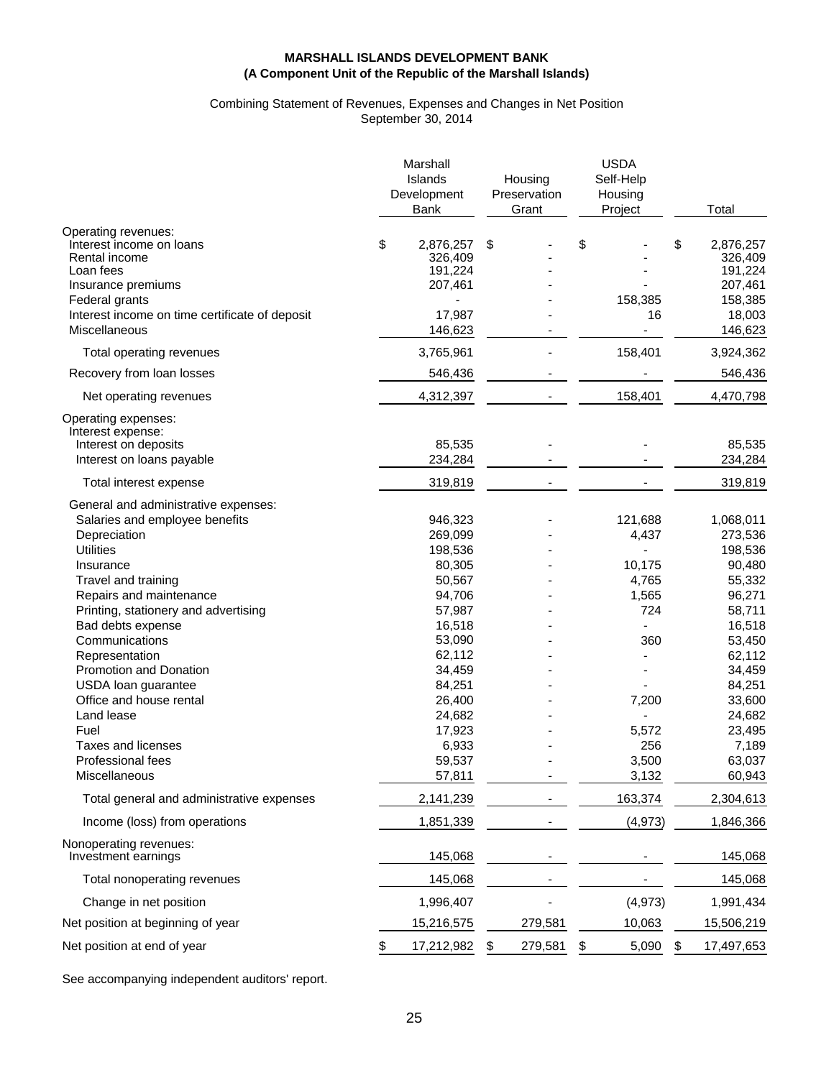#### Combining Statement of Revenues, Expenses and Changes in Net Position September 30, 2014

|                                                                                                                                                                                                                                                                                                                             |    | Marshall<br>Islands<br>Development<br><b>Bank</b>                                                                       |    | Housing<br>Preservation<br>Grant |    | <b>USDA</b><br>Self-Help<br>Housing<br>Project             |    | Total                                                                                                                     |
|-----------------------------------------------------------------------------------------------------------------------------------------------------------------------------------------------------------------------------------------------------------------------------------------------------------------------------|----|-------------------------------------------------------------------------------------------------------------------------|----|----------------------------------|----|------------------------------------------------------------|----|---------------------------------------------------------------------------------------------------------------------------|
| Operating revenues:<br>Interest income on loans<br>Rental income<br>Loan fees<br>Insurance premiums                                                                                                                                                                                                                         | \$ | 2,876,257<br>326,409<br>191,224<br>207,461                                                                              | \$ |                                  | \$ |                                                            | \$ | 2,876,257<br>326,409<br>191,224<br>207,461                                                                                |
| Federal grants<br>Interest income on time certificate of deposit<br>Miscellaneous                                                                                                                                                                                                                                           |    | 17,987<br>146,623                                                                                                       |    |                                  |    | 158,385<br>16<br>$\blacksquare$                            |    | 158,385<br>18,003<br>146,623                                                                                              |
| Total operating revenues                                                                                                                                                                                                                                                                                                    |    | 3,765,961                                                                                                               |    |                                  |    | 158,401                                                    |    | 3,924,362                                                                                                                 |
| Recovery from loan losses                                                                                                                                                                                                                                                                                                   |    | 546,436                                                                                                                 |    |                                  |    |                                                            |    | 546,436                                                                                                                   |
| Net operating revenues                                                                                                                                                                                                                                                                                                      |    | 4,312,397                                                                                                               |    |                                  |    | 158,401                                                    |    | 4,470,798                                                                                                                 |
| Operating expenses:<br>Interest expense:<br>Interest on deposits<br>Interest on loans payable                                                                                                                                                                                                                               |    | 85,535<br>234,284                                                                                                       |    |                                  |    |                                                            |    | 85,535<br>234,284                                                                                                         |
| Total interest expense                                                                                                                                                                                                                                                                                                      |    | 319,819                                                                                                                 |    |                                  |    |                                                            |    | 319,819                                                                                                                   |
| General and administrative expenses:<br>Salaries and employee benefits<br>Depreciation<br><b>Utilities</b><br>Insurance<br>Travel and training<br>Repairs and maintenance<br>Printing, stationery and advertising<br>Bad debts expense<br>Communications<br>Representation<br>Promotion and Donation<br>USDA loan guarantee |    | 946,323<br>269,099<br>198,536<br>80,305<br>50,567<br>94,706<br>57,987<br>16,518<br>53,090<br>62,112<br>34,459<br>84,251 |    |                                  |    | 121,688<br>4,437<br>10,175<br>4,765<br>1,565<br>724<br>360 |    | 1,068,011<br>273,536<br>198,536<br>90,480<br>55,332<br>96,271<br>58,711<br>16,518<br>53,450<br>62,112<br>34,459<br>84,251 |
| Office and house rental<br>Land lease<br>Fuel<br><b>Taxes and licenses</b><br>Professional fees<br>Miscellaneous                                                                                                                                                                                                            |    | 26,400<br>24,682<br>17,923<br>6,933<br>59,537<br>57,811                                                                 |    |                                  |    | 7,200<br>5,572<br>256<br>3,500<br>3,132                    |    | 33,600<br>24,682<br>23,495<br>7,189<br>63,037<br>60,943                                                                   |
| Total general and administrative expenses                                                                                                                                                                                                                                                                                   |    | 2,141,239                                                                                                               |    |                                  |    | 163,374                                                    |    | 2,304,613                                                                                                                 |
| Income (loss) from operations                                                                                                                                                                                                                                                                                               |    | 1,851,339                                                                                                               |    |                                  |    | (4, 973)                                                   |    | 1,846,366                                                                                                                 |
| Nonoperating revenues:<br>Investment earnings                                                                                                                                                                                                                                                                               |    | 145,068                                                                                                                 |    |                                  |    |                                                            |    | 145,068                                                                                                                   |
| Total nonoperating revenues                                                                                                                                                                                                                                                                                                 |    | 145,068                                                                                                                 |    |                                  |    |                                                            |    | 145,068                                                                                                                   |
| Change in net position                                                                                                                                                                                                                                                                                                      |    | 1,996,407                                                                                                               |    |                                  |    | (4,973)                                                    |    | 1,991,434                                                                                                                 |
| Net position at beginning of year                                                                                                                                                                                                                                                                                           |    | 15,216,575                                                                                                              |    | 279,581                          |    | 10,063                                                     |    | 15,506,219                                                                                                                |
| Net position at end of year                                                                                                                                                                                                                                                                                                 | \$ | 17,212,982                                                                                                              | \$ | 279,581                          | \$ | 5,090                                                      | \$ | 17,497,653                                                                                                                |

See accompanying independent auditors' report.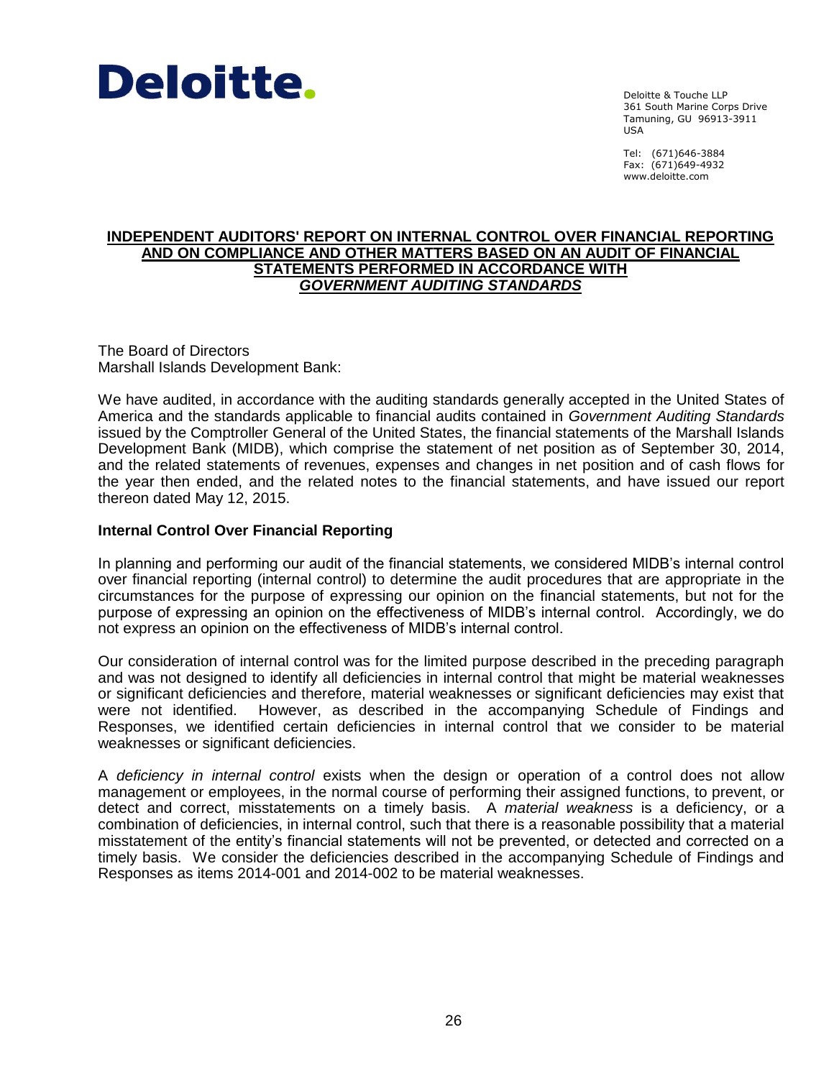

Deloitte & Touche LLP 361 South Marine Corps Drive Tamuning, GU 96913-3911 USA

Tel: (671)646-3884 Fax: (671)649-4932 www.deloitte.com

## **INDEPENDENT AUDITORS' REPORT ON INTERNAL CONTROL OVER FINANCIAL REPORTING AND ON COMPLIANCE AND OTHER MATTERS BASED ON AN AUDIT OF FINANCIAL STATEMENTS PERFORMED IN ACCORDANCE WITH**  *GOVERNMENT AUDITING STANDARDS*

The Board of Directors Marshall Islands Development Bank:

We have audited, in accordance with the auditing standards generally accepted in the United States of America and the standards applicable to financial audits contained in *Government Auditing Standards* issued by the Comptroller General of the United States, the financial statements of the Marshall Islands Development Bank (MIDB), which comprise the statement of net position as of September 30, 2014, and the related statements of revenues, expenses and changes in net position and of cash flows for the year then ended, and the related notes to the financial statements, and have issued our report thereon dated May 12, 2015.

# **Internal Control Over Financial Reporting**

In planning and performing our audit of the financial statements, we considered MIDB's internal control over financial reporting (internal control) to determine the audit procedures that are appropriate in the circumstances for the purpose of expressing our opinion on the financial statements, but not for the purpose of expressing an opinion on the effectiveness of MIDB's internal control. Accordingly, we do not express an opinion on the effectiveness of MIDB's internal control.

Our consideration of internal control was for the limited purpose described in the preceding paragraph and was not designed to identify all deficiencies in internal control that might be material weaknesses or significant deficiencies and therefore, material weaknesses or significant deficiencies may exist that were not identified. However, as described in the accompanying Schedule of Findings and Responses, we identified certain deficiencies in internal control that we consider to be material weaknesses or significant deficiencies.

A *deficiency in internal control* exists when the design or operation of a control does not allow management or employees, in the normal course of performing their assigned functions, to prevent, or detect and correct, misstatements on a timely basis. A *material weakness* is a deficiency, or a combination of deficiencies, in internal control, such that there is a reasonable possibility that a material misstatement of the entity's financial statements will not be prevented, or detected and corrected on a timely basis. We consider the deficiencies described in the accompanying Schedule of Findings and Responses as items 2014-001 and 2014-002 to be material weaknesses.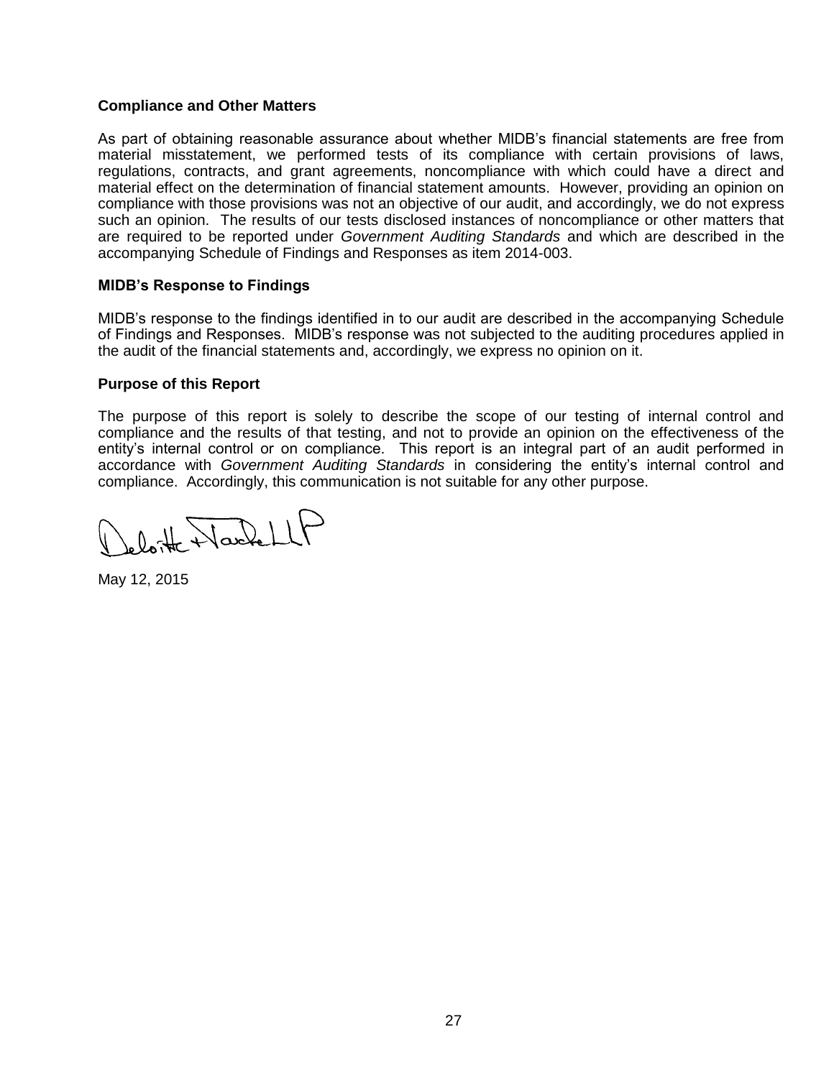## **Compliance and Other Matters**

As part of obtaining reasonable assurance about whether MIDB's financial statements are free from material misstatement, we performed tests of its compliance with certain provisions of laws, regulations, contracts, and grant agreements, noncompliance with which could have a direct and material effect on the determination of financial statement amounts. However, providing an opinion on compliance with those provisions was not an objective of our audit, and accordingly, we do not express such an opinion. The results of our tests disclosed instances of noncompliance or other matters that are required to be reported under *Government Auditing Standards* and which are described in the accompanying Schedule of Findings and Responses as item 2014-003.

## **MIDB's Response to Findings**

MIDB's response to the findings identified in to our audit are described in the accompanying Schedule of Findings and Responses. MIDB's response was not subjected to the auditing procedures applied in the audit of the financial statements and, accordingly, we express no opinion on it.

## **Purpose of this Report**

The purpose of this report is solely to describe the scope of our testing of internal control and compliance and the results of that testing, and not to provide an opinion on the effectiveness of the entity's internal control or on compliance. This report is an integral part of an audit performed in accordance with *Government Auditing Standards* in considering the entity's internal control and compliance. Accordingly, this communication is not suitable for any other purpose.

leloitte Nache LLF

May 12, 2015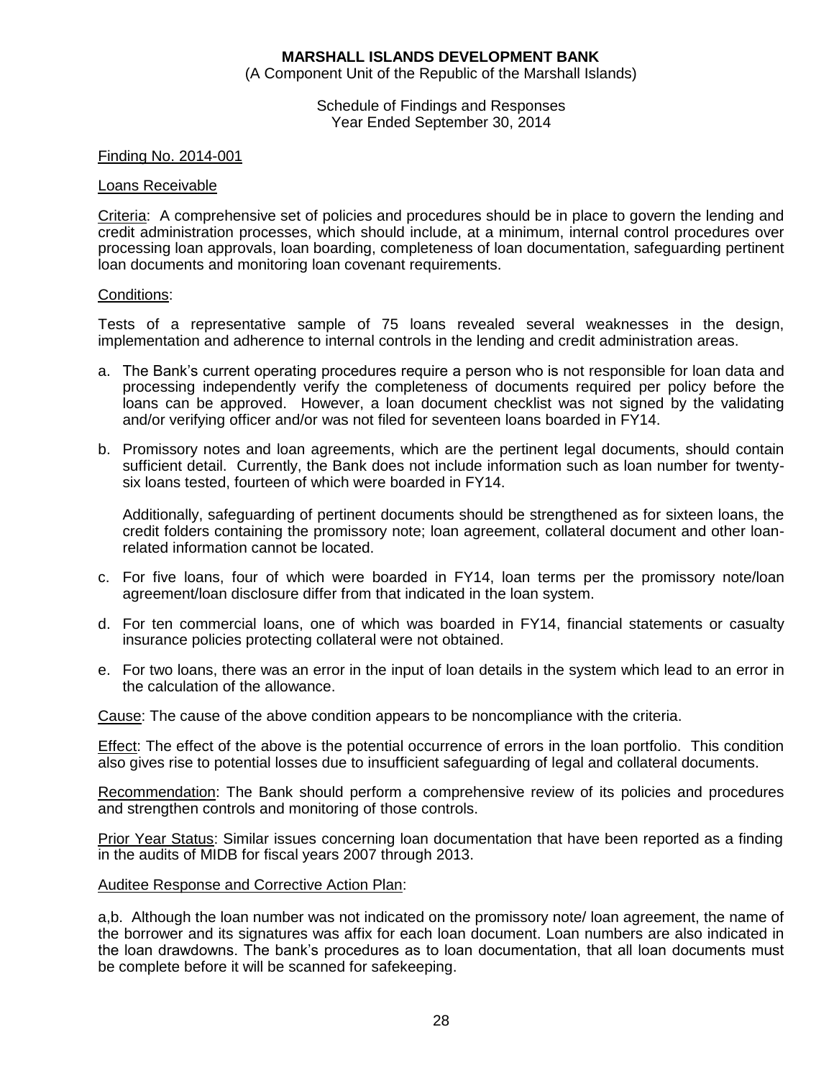(A Component Unit of the Republic of the Marshall Islands)

Schedule of Findings and Responses Year Ended September 30, 2014

## Finding No. 2014-001

#### Loans Receivable

Criteria: A comprehensive set of policies and procedures should be in place to govern the lending and credit administration processes, which should include, at a minimum, internal control procedures over processing loan approvals, loan boarding, completeness of loan documentation, safeguarding pertinent loan documents and monitoring loan covenant requirements.

#### Conditions:

Tests of a representative sample of 75 loans revealed several weaknesses in the design, implementation and adherence to internal controls in the lending and credit administration areas.

- a. The Bank's current operating procedures require a person who is not responsible for loan data and processing independently verify the completeness of documents required per policy before the loans can be approved. However, a loan document checklist was not signed by the validating and/or verifying officer and/or was not filed for seventeen loans boarded in FY14.
- b. Promissory notes and loan agreements, which are the pertinent legal documents, should contain sufficient detail. Currently, the Bank does not include information such as loan number for twentysix loans tested, fourteen of which were boarded in FY14.

Additionally, safeguarding of pertinent documents should be strengthened as for sixteen loans, the credit folders containing the promissory note; loan agreement, collateral document and other loanrelated information cannot be located.

- c. For five loans, four of which were boarded in FY14, loan terms per the promissory note/loan agreement/loan disclosure differ from that indicated in the loan system.
- d. For ten commercial loans, one of which was boarded in FY14, financial statements or casualty insurance policies protecting collateral were not obtained.
- e. For two loans, there was an error in the input of loan details in the system which lead to an error in the calculation of the allowance.

Cause: The cause of the above condition appears to be noncompliance with the criteria.

Effect: The effect of the above is the potential occurrence of errors in the loan portfolio. This condition also gives rise to potential losses due to insufficient safeguarding of legal and collateral documents.

Recommendation: The Bank should perform a comprehensive review of its policies and procedures and strengthen controls and monitoring of those controls.

Prior Year Status: Similar issues concerning loan documentation that have been reported as a finding in the audits of MIDB for fiscal years 2007 through 2013.

Auditee Response and Corrective Action Plan:

a,b. Although the loan number was not indicated on the promissory note/ loan agreement, the name of the borrower and its signatures was affix for each loan document. Loan numbers are also indicated in the loan drawdowns. The bank's procedures as to loan documentation, that all loan documents must be complete before it will be scanned for safekeeping.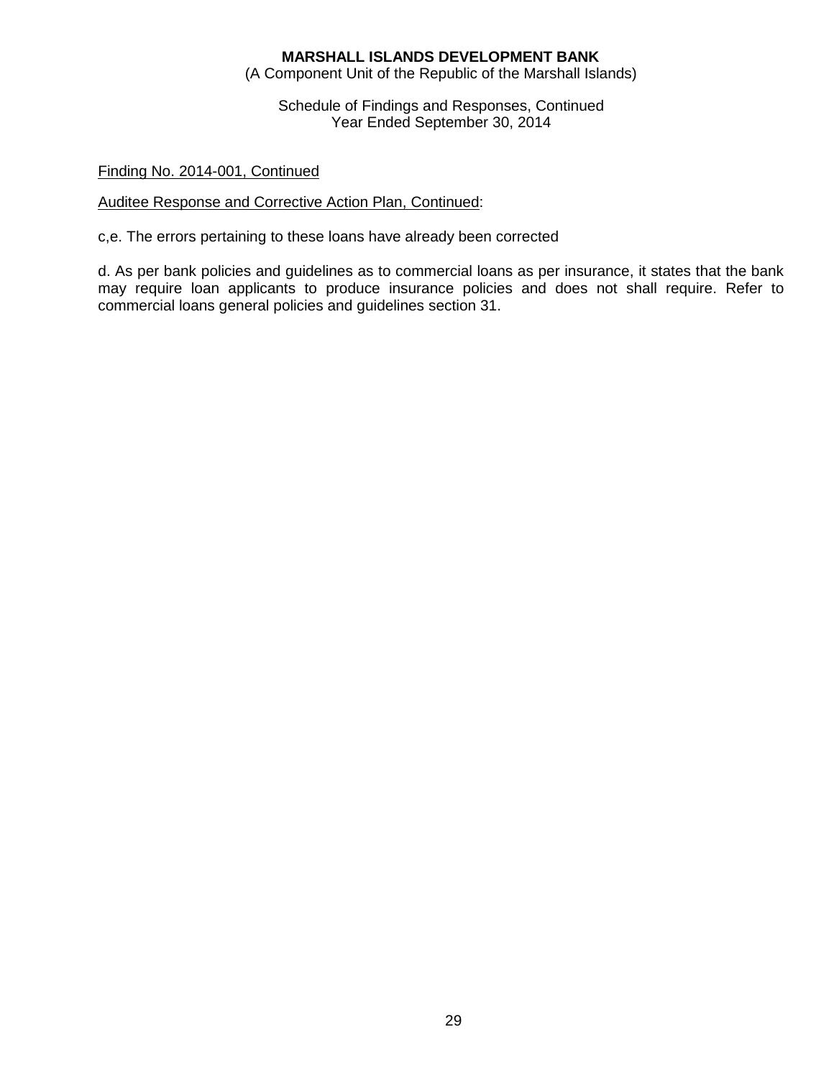(A Component Unit of the Republic of the Marshall Islands)

Schedule of Findings and Responses, Continued Year Ended September 30, 2014

## Finding No. 2014-001, Continued

## Auditee Response and Corrective Action Plan, Continued:

c,e. The errors pertaining to these loans have already been corrected

d. As per bank policies and guidelines as to commercial loans as per insurance, it states that the bank may require loan applicants to produce insurance policies and does not shall require. Refer to commercial loans general policies and guidelines section 31.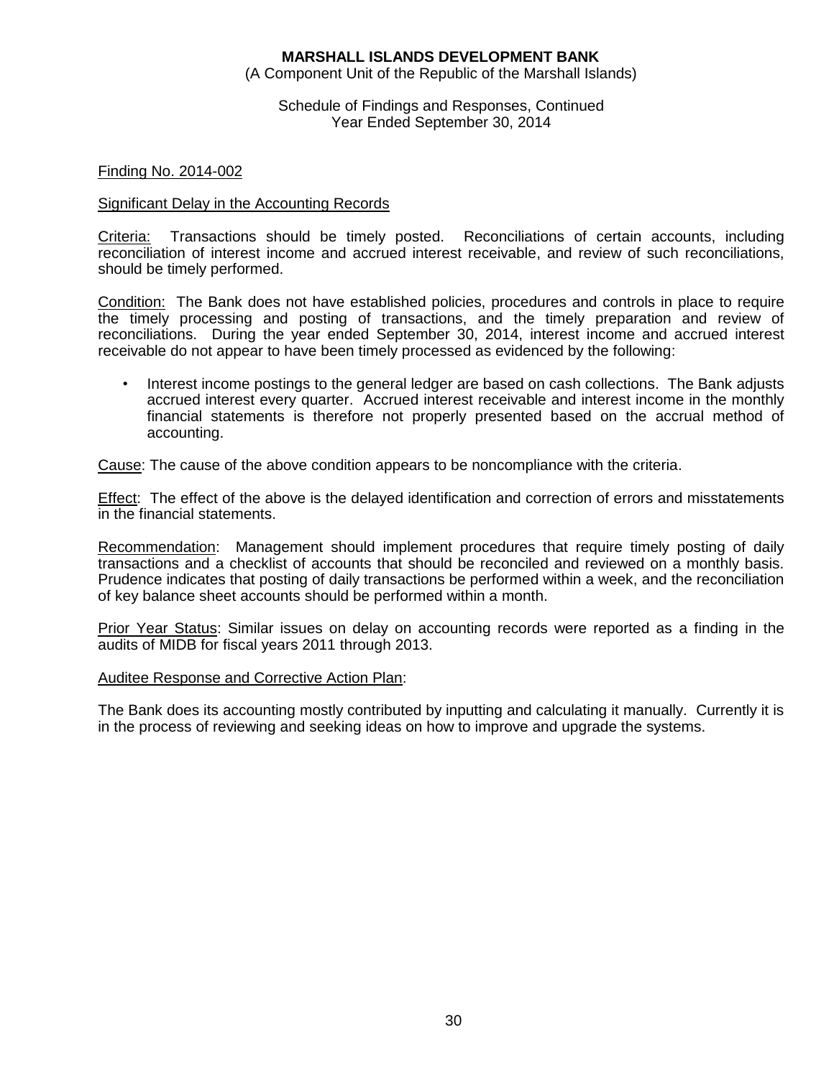(A Component Unit of the Republic of the Marshall Islands)

## Schedule of Findings and Responses, Continued Year Ended September 30, 2014

#### Finding No. 2014-002

## Significant Delay in the Accounting Records

Criteria: Transactions should be timely posted. Reconciliations of certain accounts, including reconciliation of interest income and accrued interest receivable, and review of such reconciliations, should be timely performed.

Condition: The Bank does not have established policies, procedures and controls in place to require the timely processing and posting of transactions, and the timely preparation and review of reconciliations. During the year ended September 30, 2014, interest income and accrued interest receivable do not appear to have been timely processed as evidenced by the following:

• Interest income postings to the general ledger are based on cash collections. The Bank adjusts accrued interest every quarter. Accrued interest receivable and interest income in the monthly financial statements is therefore not properly presented based on the accrual method of accounting.

Cause: The cause of the above condition appears to be noncompliance with the criteria.

Effect: The effect of the above is the delayed identification and correction of errors and misstatements in the financial statements.

Recommendation: Management should implement procedures that require timely posting of daily transactions and a checklist of accounts that should be reconciled and reviewed on a monthly basis. Prudence indicates that posting of daily transactions be performed within a week, and the reconciliation of key balance sheet accounts should be performed within a month.

Prior Year Status: Similar issues on delay on accounting records were reported as a finding in the audits of MIDB for fiscal years 2011 through 2013.

#### Auditee Response and Corrective Action Plan:

The Bank does its accounting mostly contributed by inputting and calculating it manually. Currently it is in the process of reviewing and seeking ideas on how to improve and upgrade the systems.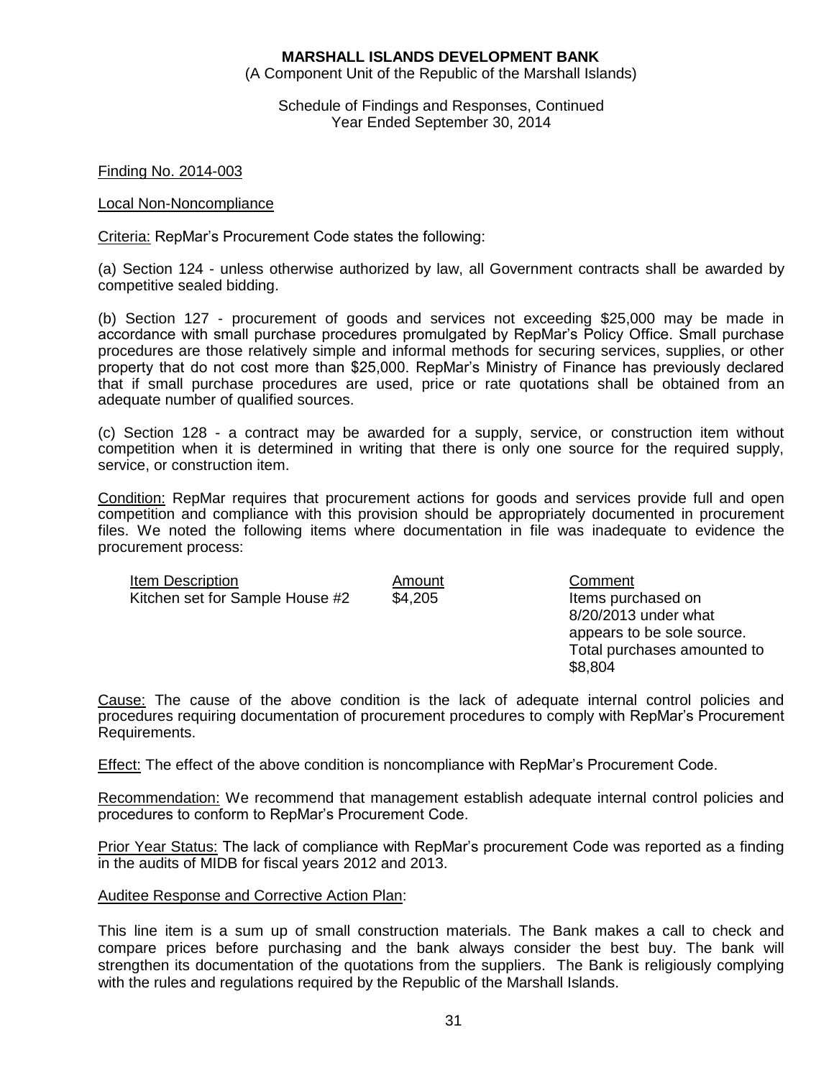(A Component Unit of the Republic of the Marshall Islands)

Schedule of Findings and Responses, Continued Year Ended September 30, 2014

## Finding No. 2014-003

#### Local Non-Noncompliance

Criteria: RepMar's Procurement Code states the following:

(a) Section 124 - unless otherwise authorized by law, all Government contracts shall be awarded by competitive sealed bidding.

(b) Section 127 - procurement of goods and services not exceeding \$25,000 may be made in accordance with small purchase procedures promulgated by RepMar's Policy Office. Small purchase procedures are those relatively simple and informal methods for securing services, supplies, or other property that do not cost more than \$25,000. RepMar's Ministry of Finance has previously declared that if small purchase procedures are used, price or rate quotations shall be obtained from an adequate number of qualified sources.

(c) Section 128 - a contract may be awarded for a supply, service, or construction item without competition when it is determined in writing that there is only one source for the required supply, service, or construction item.

Condition: RepMar requires that procurement actions for goods and services provide full and open competition and compliance with this provision should be appropriately documented in procurement files. We noted the following items where documentation in file was inadequate to evidence the procurement process:

Item Description **Amount** Amount Comment Kitchen set for Sample House #2  $$4,205$  Items purchased on 8/20/2013 under what appears to be sole source. Total purchases amounted to \$8,804

Cause: The cause of the above condition is the lack of adequate internal control policies and procedures requiring documentation of procurement procedures to comply with RepMar's Procurement Requirements.

Effect: The effect of the above condition is noncompliance with RepMar's Procurement Code.

Recommendation: We recommend that management establish adequate internal control policies and procedures to conform to RepMar's Procurement Code.

Prior Year Status: The lack of compliance with RepMar's procurement Code was reported as a finding in the audits of MIDB for fiscal years 2012 and 2013.

#### Auditee Response and Corrective Action Plan:

This line item is a sum up of small construction materials. The Bank makes a call to check and compare prices before purchasing and the bank always consider the best buy. The bank will strengthen its documentation of the quotations from the suppliers. The Bank is religiously complying with the rules and regulations required by the Republic of the Marshall Islands.